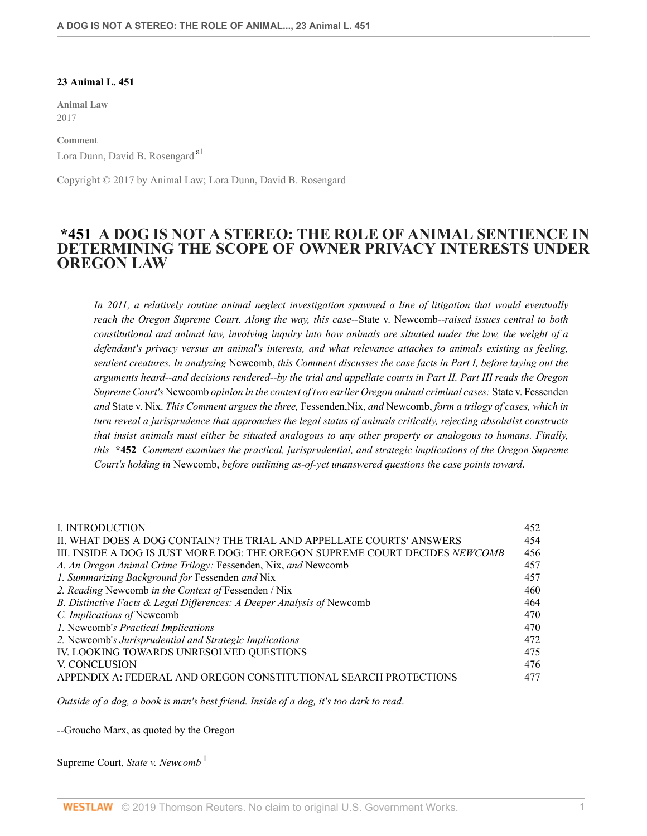#### **23 Animal L. 451**

**Animal Law** 2017

**Comment** Lora Dunn, David B. Rosengard a1

Copyright © 2017 by Animal Law; Lora Dunn, David B. Rosengard

## **\*451 A DOG IS NOT A STEREO: THE ROLE OF ANIMAL SENTIENCE IN DETERMINING THE SCOPE OF OWNER PRIVACY INTERESTS UNDER OREGON LAW**

*In 2011, a relatively routine animal neglect investigation spawned a line of litigation that would eventually reach the Oregon Supreme Court. Along the way, this case*--State v. Newcomb--*raised issues central to both constitutional and animal law, involving inquiry into how animals are situated under the law, the weight of a defendant's privacy versus an animal's interests, and what relevance attaches to animals existing as feeling, sentient creatures. In analyzing* Newcomb, *this Comment discusses the case facts in Part I, before laying out the arguments heard--and decisions rendered--by the trial and appellate courts in Part II. Part III reads the Oregon Supreme Court's* Newcomb *opinion in the context of two earlier Oregon animal criminal cases:* State v. Fessenden *and* State v. Nix. *This Comment argues the three,* Fessenden,Nix, *and* Newcomb, *form a trilogy of cases, which in turn reveal a jurisprudence that approaches the legal status of animals critically, rejecting absolutist constructs that insist animals must either be situated analogous to any other property or analogous to humans. Finally, this* **\*452** *Comment examines the practical, jurisprudential, and strategic implications of the Oregon Supreme Court's holding in* Newcomb, *before outlining as-of-yet unanswered questions the case points toward*.

| L INTRODUCTION                                                               | 452 |
|------------------------------------------------------------------------------|-----|
| II. WHAT DOES A DOG CONTAIN? THE TRIAL AND APPELLATE COURTS' ANSWERS         | 454 |
| III. INSIDE A DOG IS JUST MORE DOG: THE OREGON SUPREME COURT DECIDES NEWCOMB | 456 |
| A. An Oregon Animal Crime Trilogy: Fessenden, Nix, and Newcomb               | 457 |
| 1. Summarizing Background for Fessenden and Nix                              | 457 |
| 2. Reading Newcomb in the Context of Fessenden / Nix                         | 460 |
| B. Distinctive Facts & Legal Differences: A Deeper Analysis of Newcomb       | 464 |
| C. Implications of Newcomb                                                   | 470 |
| 1. Newcomb's Practical Implications                                          | 470 |
| 2. Newcomb's Jurisprudential and Strategic Implications                      | 472 |
| IV. LOOKING TOWARDS UNRESOLVED QUESTIONS                                     | 475 |
| V. CONCLUSION                                                                | 476 |
| APPENDIX A: FEDERAL AND OREGON CONSTITUTIONAL SEARCH PROTECTIONS             | 477 |
|                                                                              |     |

*Outside of a dog, a book is man's best friend. Inside of a dog, it's too dark to read*.

--Groucho Marx, as quoted by the Oregon

Supreme Court, *State v. Newcomb* <sup>1</sup>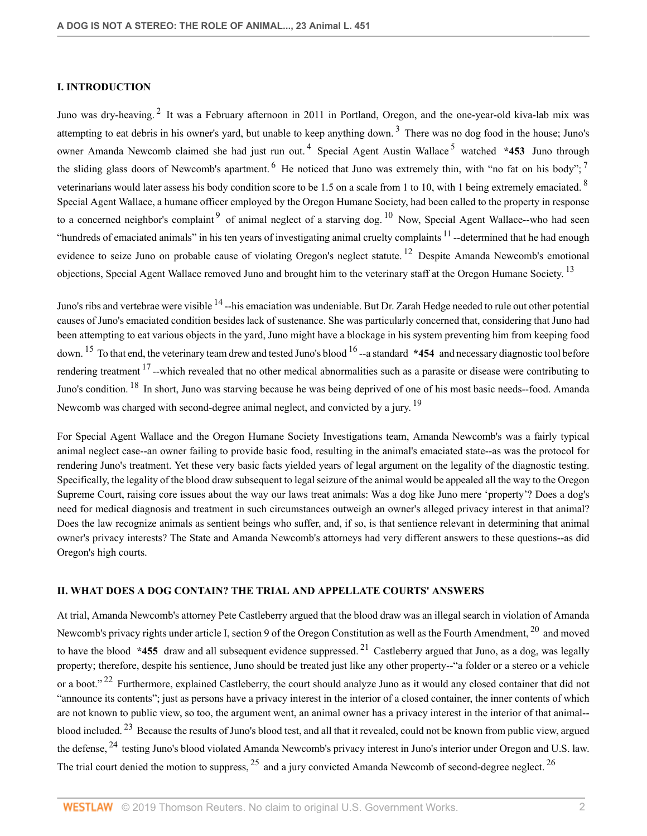## **I. INTRODUCTION**

Juno was dry-heaving.<sup>2</sup> It was a February afternoon in 2011 in Portland, Oregon, and the one-year-old kiva-lab mix was attempting to eat debris in his owner's yard, but unable to keep anything down.<sup>3</sup> There was no dog food in the house; Juno's owner Amanda Newcomb claimed she had just run out.<sup>4</sup> Special Agent Austin Wallace<sup>5</sup> watched \*453 Juno through the sliding glass doors of Newcomb's apartment. <sup>6</sup> He noticed that Juno was extremely thin, with "no fat on his body"; <sup>7</sup> veterinarians would later assess his body condition score to be 1.5 on a scale from 1 to 10, with 1 being extremely emaciated. <sup>8</sup> Special Agent Wallace, a humane officer employed by the Oregon Humane Society, had been called to the property in response to a concerned neighbor's complaint  $9$  of animal neglect of a starving dog.  $10$  Now, Special Agent Wallace--who had seen "hundreds of emaciated animals" in his ten years of investigating animal cruelty complaints  $11$  --determined that he had enough evidence to seize Juno on probable cause of violating Oregon's neglect statute.<sup>12</sup> Despite Amanda Newcomb's emotional objections, Special Agent Wallace removed Juno and brought him to the veterinary staff at the Oregon Humane Society.<sup>13</sup>

Juno's ribs and vertebrae were visible <sup>14</sup> --his emaciation was undeniable. But Dr. Zarah Hedge needed to rule out other potential causes of Juno's emaciated condition besides lack of sustenance. She was particularly concerned that, considering that Juno had been attempting to eat various objects in the yard, Juno might have a blockage in his system preventing him from keeping food down. <sup>15</sup> To that end, the veterinary team drew and tested Juno's blood <sup>16</sup> --a standard **\*454** and necessary diagnostic tool before rendering treatment  $17$ --which revealed that no other medical abnormalities such as a parasite or disease were contributing to Juno's condition. <sup>18</sup> In short, Juno was starving because he was being deprived of one of his most basic needs--food. Amanda Newcomb was charged with second-degree animal neglect, and convicted by a jury. <sup>19</sup>

For Special Agent Wallace and the Oregon Humane Society Investigations team, Amanda Newcomb's was a fairly typical animal neglect case--an owner failing to provide basic food, resulting in the animal's emaciated state--as was the protocol for rendering Juno's treatment. Yet these very basic facts yielded years of legal argument on the legality of the diagnostic testing. Specifically, the legality of the blood draw subsequent to legal seizure of the animal would be appealed all the way to the Oregon Supreme Court, raising core issues about the way our laws treat animals: Was a dog like Juno mere 'property'? Does a dog's need for medical diagnosis and treatment in such circumstances outweigh an owner's alleged privacy interest in that animal? Does the law recognize animals as sentient beings who suffer, and, if so, is that sentience relevant in determining that animal owner's privacy interests? The State and Amanda Newcomb's attorneys had very different answers to these questions--as did Oregon's high courts.

#### **II. WHAT DOES A DOG CONTAIN? THE TRIAL AND APPELLATE COURTS' ANSWERS**

At trial, Amanda Newcomb's attorney Pete Castleberry argued that the blood draw was an illegal search in violation of Amanda Newcomb's privacy rights under article I, section 9 of the Oregon Constitution as well as the Fourth Amendment, <sup>20</sup> and moved to have the blood **\*455** draw and all subsequent evidence suppressed. <sup>21</sup> Castleberry argued that Juno, as a dog, was legally property; therefore, despite his sentience, Juno should be treated just like any other property--"a folder or a stereo or a vehicle or a boot."<sup>22</sup> Furthermore, explained Castleberry, the court should analyze Juno as it would any closed container that did not "announce its contents"; just as persons have a privacy interest in the interior of a closed container, the inner contents of which are not known to public view, so too, the argument went, an animal owner has a privacy interest in the interior of that animal- blood included.<sup>23</sup> Because the results of Juno's blood test, and all that it revealed, could not be known from public view, argued the defense, <sup>24</sup> testing Juno's blood violated Amanda Newcomb's privacy interest in Juno's interior under Oregon and U.S. law. The trial court denied the motion to suppress,  $^{25}$  and a jury convicted Amanda Newcomb of second-degree neglect.  $^{26}$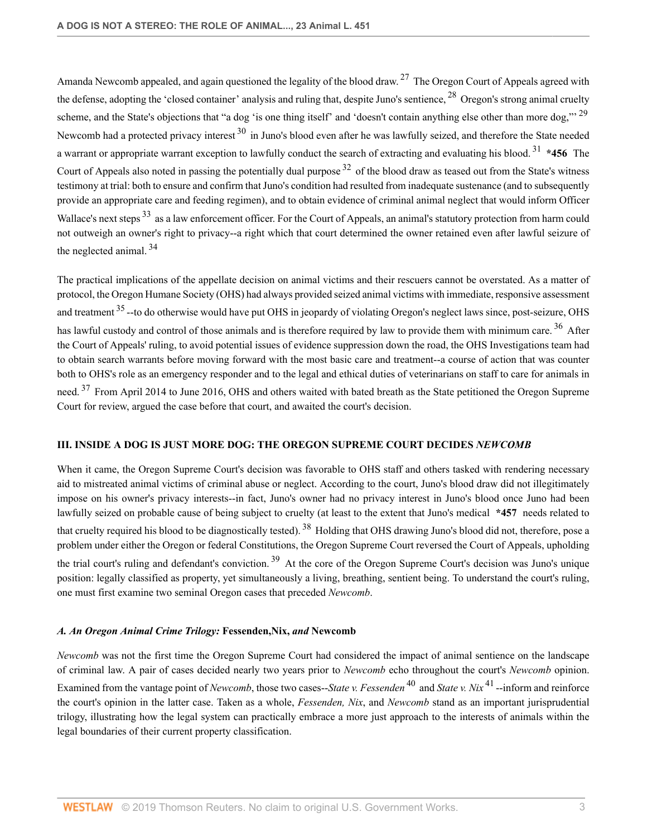Amanda Newcomb appealed, and again questioned the legality of the blood draw.<sup>27</sup> The Oregon Court of Appeals agreed with the defense, adopting the 'closed container' analysis and ruling that, despite Juno's sentience,  $^{28}$  Oregon's strong animal cruelty scheme, and the State's objections that "a dog 'is one thing itself' and 'doesn't contain anything else other than more dog," 29 Newcomb had a protected privacy interest <sup>30</sup> in Juno's blood even after he was lawfully seized, and therefore the State needed a warrant or appropriate warrant exception to lawfully conduct the search of extracting and evaluating his blood. <sup>31</sup> **\*456** The Court of Appeals also noted in passing the potentially dual purpose <sup>32</sup> of the blood draw as teased out from the State's witness testimony at trial: both to ensure and confirm that Juno's condition had resulted from inadequate sustenance (and to subsequently provide an appropriate care and feeding regimen), and to obtain evidence of criminal animal neglect that would inform Officer Wallace's next steps<sup>33</sup> as a law enforcement officer. For the Court of Appeals, an animal's statutory protection from harm could not outweigh an owner's right to privacy--a right which that court determined the owner retained even after lawful seizure of the neglected animal. <sup>34</sup>

The practical implications of the appellate decision on animal victims and their rescuers cannot be overstated. As a matter of protocol, the Oregon Humane Society (OHS) had always provided seized animal victims with immediate, responsive assessment and treatment <sup>35</sup> --to do otherwise would have put OHS in jeopardy of violating Oregon's neglect laws since, post-seizure, OHS has lawful custody and control of those animals and is therefore required by law to provide them with minimum care.<sup>36</sup> After the Court of Appeals' ruling, to avoid potential issues of evidence suppression down the road, the OHS Investigations team had to obtain search warrants before moving forward with the most basic care and treatment--a course of action that was counter both to OHS's role as an emergency responder and to the legal and ethical duties of veterinarians on staff to care for animals in need.<sup>37</sup> From April 2014 to June 2016, OHS and others waited with bated breath as the State petitioned the Oregon Supreme Court for review, argued the case before that court, and awaited the court's decision.

## **III. INSIDE A DOG IS JUST MORE DOG: THE OREGON SUPREME COURT DECIDES** *NEWCOMB*

When it came, the Oregon Supreme Court's decision was favorable to OHS staff and others tasked with rendering necessary aid to mistreated animal victims of criminal abuse or neglect. According to the court, Juno's blood draw did not illegitimately impose on his owner's privacy interests--in fact, Juno's owner had no privacy interest in Juno's blood once Juno had been lawfully seized on probable cause of being subject to cruelty (at least to the extent that Juno's medical **\*457** needs related to that cruelty required his blood to be diagnostically tested). <sup>38</sup> Holding that OHS drawing Juno's blood did not, therefore, pose a problem under either the Oregon or federal Constitutions, the Oregon Supreme Court reversed the Court of Appeals, upholding the trial court's ruling and defendant's conviction. <sup>39</sup> At the core of the Oregon Supreme Court's decision was Juno's unique position: legally classified as property, yet simultaneously a living, breathing, sentient being. To understand the court's ruling, one must first examine two seminal Oregon cases that preceded *Newcomb*.

#### *A. An Oregon Animal Crime Trilogy:* **Fessenden,Nix,** *and* **Newcomb**

*Newcomb* was not the first time the Oregon Supreme Court had considered the impact of animal sentience on the landscape of criminal law. A pair of cases decided nearly two years prior to *Newcomb* echo throughout the court's *Newcomb* opinion. Examined from the vantage point of *Newcomb*, those two cases--*State v. Fessenden* <sup>40</sup> and *State v. Nix* <sup>41</sup> --inform and reinforce the court's opinion in the latter case. Taken as a whole, *Fessenden, Nix*, and *Newcomb* stand as an important jurisprudential trilogy, illustrating how the legal system can practically embrace a more just approach to the interests of animals within the legal boundaries of their current property classification.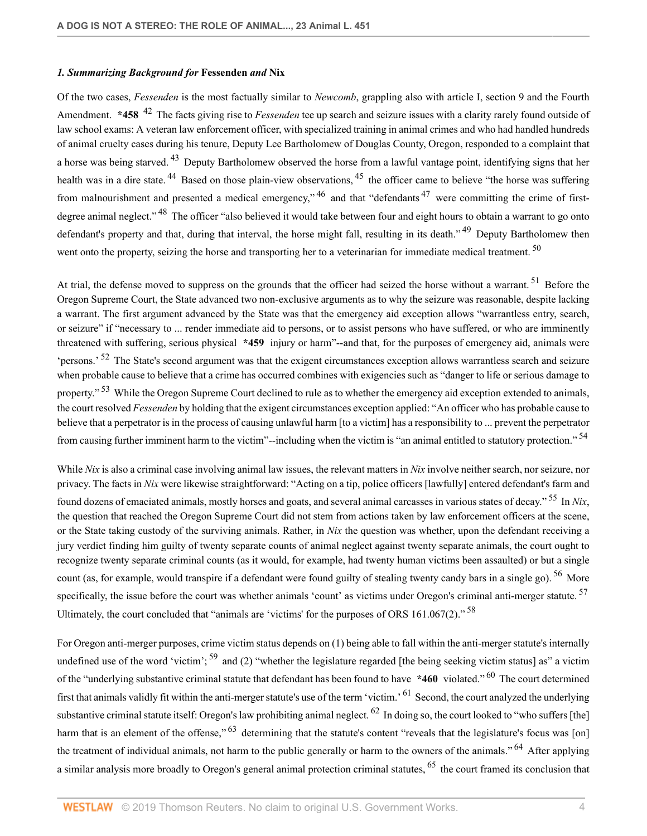#### *1. Summarizing Background for* **Fessenden** *and* **Nix**

Of the two cases, *Fessenden* is the most factually similar to *Newcomb*, grappling also with article I, section 9 and the Fourth Amendment. **\*458** <sup>42</sup> The facts giving rise to *Fessenden* tee up search and seizure issues with a clarity rarely found outside of law school exams: A veteran law enforcement officer, with specialized training in animal crimes and who had handled hundreds of animal cruelty cases during his tenure, Deputy Lee Bartholomew of Douglas County, Oregon, responded to a complaint that a horse was being starved.<sup>43</sup> Deputy Bartholomew observed the horse from a lawful vantage point, identifying signs that her health was in a dire state.<sup>44</sup> Based on those plain-view observations,<sup>45</sup> the officer came to believe "the horse was suffering from malnourishment and presented a medical emergency,<sup> $46$ </sup> and that "defendants<sup>47</sup> were committing the crime of firstdegree animal neglect."<sup>48</sup> The officer "also believed it would take between four and eight hours to obtain a warrant to go onto defendant's property and that, during that interval, the horse might fall, resulting in its death."<sup>49</sup> Deputy Bartholomew then went onto the property, seizing the horse and transporting her to a veterinarian for immediate medical treatment. <sup>50</sup>

At trial, the defense moved to suppress on the grounds that the officer had seized the horse without a warrant.<sup>51</sup> Before the Oregon Supreme Court, the State advanced two non-exclusive arguments as to why the seizure was reasonable, despite lacking a warrant. The first argument advanced by the State was that the emergency aid exception allows "warrantless entry, search, or seizure" if "necessary to ... render immediate aid to persons, or to assist persons who have suffered, or who are imminently threatened with suffering, serious physical **\*459** injury or harm"--and that, for the purposes of emergency aid, animals were 'persons.<sup>' 52</sup> The State's second argument was that the exigent circumstances exception allows warrantless search and seizure when probable cause to believe that a crime has occurred combines with exigencies such as "danger to life or serious damage to property."<sup>53</sup> While the Oregon Supreme Court declined to rule as to whether the emergency aid exception extended to animals, the court resolved *Fessenden* by holding that the exigent circumstances exception applied: "An officer who has probable cause to believe that a perpetrator is in the process of causing unlawful harm [to a victim] has a responsibility to ... prevent the perpetrator from causing further imminent harm to the victim"--including when the victim is "an animal entitled to statutory protection."<sup>54</sup>

While *Nix* is also a criminal case involving animal law issues, the relevant matters in *Nix* involve neither search, nor seizure, nor privacy. The facts in *Nix* were likewise straightforward: "Acting on a tip, police officers [lawfully] entered defendant's farm and found dozens of emaciated animals, mostly horses and goats, and several animal carcasses in various states of decay." <sup>55</sup> In *Nix*, the question that reached the Oregon Supreme Court did not stem from actions taken by law enforcement officers at the scene, or the State taking custody of the surviving animals. Rather, in *Nix* the question was whether, upon the defendant receiving a jury verdict finding him guilty of twenty separate counts of animal neglect against twenty separate animals, the court ought to recognize twenty separate criminal counts (as it would, for example, had twenty human victims been assaulted) or but a single count (as, for example, would transpire if a defendant were found guilty of stealing twenty candy bars in a single go). <sup>56</sup> More specifically, the issue before the court was whether animals 'count' as victims under Oregon's criminal anti-merger statute. <sup>57</sup> Ultimately, the court concluded that "animals are 'victims' for the purposes of ORS  $161.067(2)$ ." <sup>58</sup>

For Oregon anti-merger purposes, crime victim status depends on (1) being able to fall within the anti-merger statute's internally undefined use of the word 'victim';  $^{59}$  and (2) "whether the legislature regarded [the being seeking victim status] as" a victim of the "underlying substantive criminal statute that defendant has been found to have **\*460** violated." <sup>60</sup> The court determined first that animals validly fit within the anti-merger statute's use of the term 'victim.' <sup>61</sup> Second, the court analyzed the underlying substantive criminal statute itself: Oregon's law prohibiting animal neglect. <sup>62</sup> In doing so, the court looked to "who suffers [the] harm that is an element of the offense," <sup>63</sup> determining that the statute's content "reveals that the legislature's focus was [on] the treatment of individual animals, not harm to the public generally or harm to the owners of the animals." <sup>64</sup> After applying a similar analysis more broadly to Oregon's general animal protection criminal statutes, <sup>65</sup> the court framed its conclusion that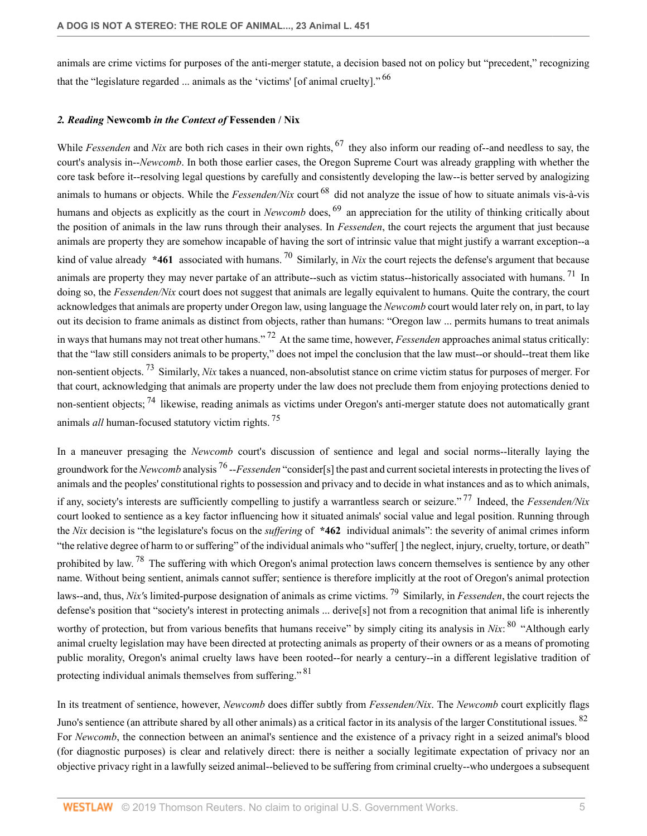animals are crime victims for purposes of the anti-merger statute, a decision based not on policy but "precedent," recognizing that the "legislature regarded ... animals as the 'victims' [of animal cruelty]." <sup>66</sup>

#### *2. Reading* **Newcomb** *in the Context of* **Fessenden / Nix**

While *Fessenden* and *Nix* are both rich cases in their own rights, <sup>67</sup> they also inform our reading of--and needless to say, the court's analysis in--*Newcomb*. In both those earlier cases, the Oregon Supreme Court was already grappling with whether the core task before it--resolving legal questions by carefully and consistently developing the law--is better served by analogizing animals to humans or objects. While the *Fessenden/Nix* court <sup>68</sup> did not analyze the issue of how to situate animals vis-à-vis humans and objects as explicitly as the court in *Newcomb* does, <sup>69</sup> an appreciation for the utility of thinking critically about the position of animals in the law runs through their analyses. In *Fessenden*, the court rejects the argument that just because animals are property they are somehow incapable of having the sort of intrinsic value that might justify a warrant exception--a kind of value already \*461 associated with humans. <sup>70</sup> Similarly, in *Nix* the court rejects the defense's argument that because animals are property they may never partake of an attribute--such as victim status--historically associated with humans.<sup>71</sup> In doing so, the *Fessenden/Nix* court does not suggest that animals are legally equivalent to humans. Quite the contrary, the court acknowledges that animals are property under Oregon law, using language the *Newcomb* court would later rely on, in part, to lay out its decision to frame animals as distinct from objects, rather than humans: "Oregon law ... permits humans to treat animals in ways that humans may not treat other humans." <sup>72</sup> At the same time, however, *Fessenden* approaches animal status critically: that the "law still considers animals to be property," does not impel the conclusion that the law must--or should--treat them like non-sentient objects. <sup>73</sup> Similarly, *Nix* takes a nuanced, non-absolutist stance on crime victim status for purposes of merger. For that court, acknowledging that animals are property under the law does not preclude them from enjoying protections denied to non-sentient objects; <sup>74</sup> likewise, reading animals as victims under Oregon's anti-merger statute does not automatically grant animals *all* human-focused statutory victim rights. <sup>75</sup>

In a maneuver presaging the *Newcomb* court's discussion of sentience and legal and social norms--literally laying the groundwork for the *Newcomb* analysis <sup>76</sup> --*Fessenden* "consider[s] the past and current societal interests in protecting the lives of animals and the peoples' constitutional rights to possession and privacy and to decide in what instances and as to which animals, if any, society's interests are sufficiently compelling to justify a warrantless search or seizure." <sup>77</sup> Indeed, the *Fessenden/Nix* court looked to sentience as a key factor influencing how it situated animals' social value and legal position. Running through the *Nix* decision is "the legislature's focus on the *suffering* of **\*462** individual animals": the severity of animal crimes inform "the relative degree of harm to or suffering" of the individual animals who "suffer[ ] the neglect, injury, cruelty, torture, or death" prohibited by law. <sup>78</sup> The suffering with which Oregon's animal protection laws concern themselves is sentience by any other name. Without being sentient, animals cannot suffer; sentience is therefore implicitly at the root of Oregon's animal protection laws--and, thus, *Nix'*s limited-purpose designation of animals as crime victims. <sup>79</sup> Similarly, in *Fessenden*, the court rejects the defense's position that "society's interest in protecting animals ... derive[s] not from a recognition that animal life is inherently worthy of protection, but from various benefits that humans receive" by simply citing its analysis in *Nix*: <sup>80</sup> "Although early animal cruelty legislation may have been directed at protecting animals as property of their owners or as a means of promoting public morality, Oregon's animal cruelty laws have been rooted--for nearly a century--in a different legislative tradition of protecting individual animals themselves from suffering." <sup>81</sup>

In its treatment of sentience, however, *Newcomb* does differ subtly from *Fessenden/Nix*. The *Newcomb* court explicitly flags Juno's sentience (an attribute shared by all other animals) as a critical factor in its analysis of the larger Constitutional issues. <sup>82</sup> For *Newcomb*, the connection between an animal's sentience and the existence of a privacy right in a seized animal's blood (for diagnostic purposes) is clear and relatively direct: there is neither a socially legitimate expectation of privacy nor an objective privacy right in a lawfully seized animal--believed to be suffering from criminal cruelty--who undergoes a subsequent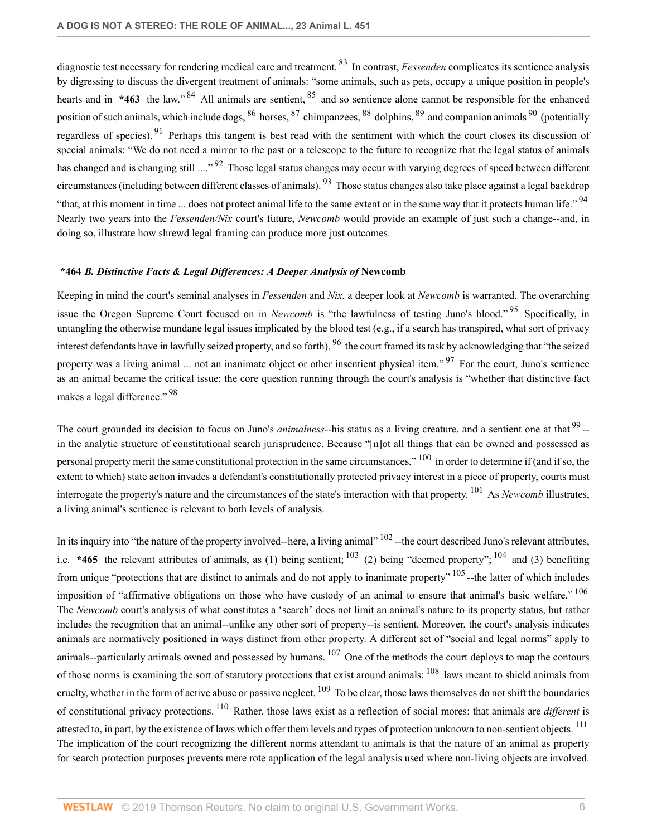diagnostic test necessary for rendering medical care and treatment. <sup>83</sup> In contrast, *Fessenden* complicates its sentience analysis by digressing to discuss the divergent treatment of animals: "some animals, such as pets, occupy a unique position in people's hearts and in **\*463** the law." <sup>84</sup> All animals are sentient, <sup>85</sup> and so sentience alone cannot be responsible for the enhanced position of such animals, which include dogs, <sup>86</sup> horses, <sup>87</sup> chimpanzees, <sup>88</sup> dolphins, <sup>89</sup> and companion animals <sup>90</sup> (potentially regardless of species). <sup>91</sup> Perhaps this tangent is best read with the sentiment with which the court closes its discussion of special animals: "We do not need a mirror to the past or a telescope to the future to recognize that the legal status of animals has changed and is changing still ...."<sup>92</sup> Those legal status changes may occur with varying degrees of speed between different circumstances (including between different classes of animals). <sup>93</sup> Those status changes also take place against a legal backdrop "that, at this moment in time ... does not protect animal life to the same extent or in the same way that it protects human life."<sup>94</sup> Nearly two years into the *Fessenden/Nix* court's future, *Newcomb* would provide an example of just such a change--and, in doing so, illustrate how shrewd legal framing can produce more just outcomes.

#### **\*464** *B. Distinctive Facts & Legal Differences: A Deeper Analysis of* **Newcomb**

Keeping in mind the court's seminal analyses in *Fessenden* and *Nix*, a deeper look at *Newcomb* is warranted. The overarching issue the Oregon Supreme Court focused on in *Newcomb* is "the lawfulness of testing Juno's blood." <sup>95</sup> Specifically, in untangling the otherwise mundane legal issues implicated by the blood test (e.g., if a search has transpired, what sort of privacy interest defendants have in lawfully seized property, and so forth), <sup>96</sup> the court framed its task by acknowledging that "the seized property was a living animal ... not an inanimate object or other insentient physical item."<sup>97</sup> For the court, Juno's sentience as an animal became the critical issue: the core question running through the court's analysis is "whether that distinctive fact makes a legal difference."<sup>98</sup>

The court grounded its decision to focus on Juno's *animalness*--his status as a living creature, and a sentient one at that <sup>99</sup>-in the analytic structure of constitutional search jurisprudence. Because "[n]ot all things that can be owned and possessed as personal property merit the same constitutional protection in the same circumstances," <sup>100</sup> in order to determine if (and if so, the extent to which) state action invades a defendant's constitutionally protected privacy interest in a piece of property, courts must interrogate the property's nature and the circumstances of the state's interaction with that property. <sup>101</sup> As *Newcomb* illustrates, a living animal's sentience is relevant to both levels of analysis.

In its inquiry into "the nature of the property involved--here, a living animal"  $102$ --the court described Juno's relevant attributes, i.e. **\*465** the relevant attributes of animals, as (1) being sentient;  $^{103}$  (2) being "deemed property";  $^{104}$  and (3) benefiting from unique "protections that are distinct to animals and do not apply to inanimate property" <sup>105</sup> --the latter of which includes imposition of "affirmative obligations on those who have custody of an animal to ensure that animal's basic welfare." <sup>106</sup> The *Newcomb* court's analysis of what constitutes a 'search' does not limit an animal's nature to its property status, but rather includes the recognition that an animal--unlike any other sort of property--is sentient. Moreover, the court's analysis indicates animals are normatively positioned in ways distinct from other property. A different set of "social and legal norms" apply to animals--particularly animals owned and possessed by humans.  $107$  One of the methods the court deploys to map the contours of those norms is examining the sort of statutory protections that exist around animals: <sup>108</sup> laws meant to shield animals from cruelty, whether in the form of active abuse or passive neglect.  $109$  To be clear, those laws themselves do not shift the boundaries of constitutional privacy protections. <sup>110</sup> Rather, those laws exist as a reflection of social mores: that animals are *different* is attested to, in part, by the existence of laws which offer them levels and types of protection unknown to non-sentient objects. <sup>111</sup> The implication of the court recognizing the different norms attendant to animals is that the nature of an animal as property for search protection purposes prevents mere rote application of the legal analysis used where non-living objects are involved.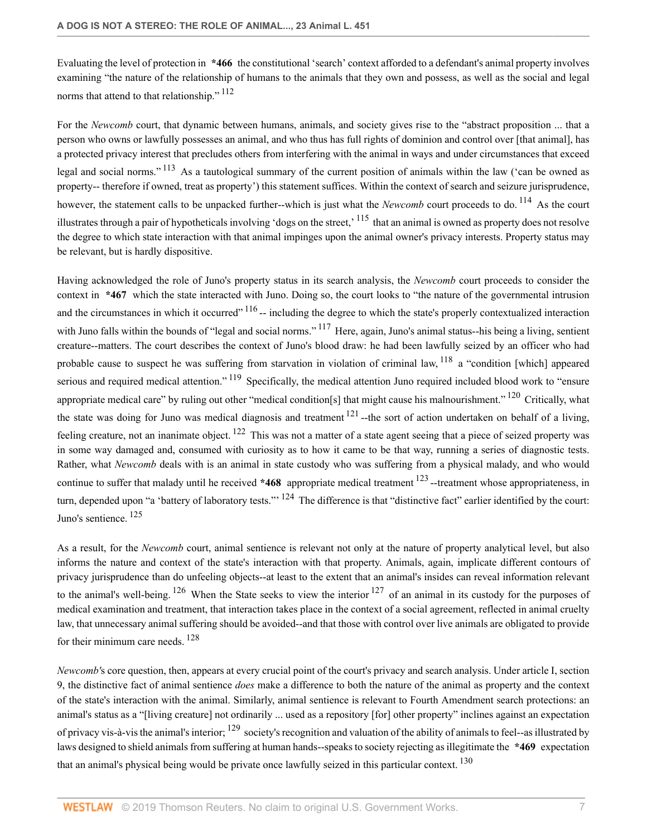Evaluating the level of protection in **\*466** the constitutional 'search' context afforded to a defendant's animal property involves examining "the nature of the relationship of humans to the animals that they own and possess, as well as the social and legal norms that attend to that relationship."<sup>112</sup>

For the *Newcomb* court, that dynamic between humans, animals, and society gives rise to the "abstract proposition ... that a person who owns or lawfully possesses an animal, and who thus has full rights of dominion and control over [that animal], has a protected privacy interest that precludes others from interfering with the animal in ways and under circumstances that exceed legal and social norms."<sup>113</sup> As a tautological summary of the current position of animals within the law ('can be owned as property-- therefore if owned, treat as property') this statement suffices. Within the context of search and seizure jurisprudence, however, the statement calls to be unpacked further--which is just what the *Newcomb* court proceeds to do. <sup>114</sup> As the court illustrates through a pair of hypotheticals involving 'dogs on the street,<sup>115</sup> that an animal is owned as property does not resolve the degree to which state interaction with that animal impinges upon the animal owner's privacy interests. Property status may be relevant, but is hardly dispositive.

Having acknowledged the role of Juno's property status in its search analysis, the *Newcomb* court proceeds to consider the context in **\*467** which the state interacted with Juno. Doing so, the court looks to "the nature of the governmental intrusion and the circumstances in which it occurred"  $116$  -- including the degree to which the state's properly contextualized interaction with Juno falls within the bounds of "legal and social norms." <sup>117</sup> Here, again, Juno's animal status--his being a living, sentient creature--matters. The court describes the context of Juno's blood draw: he had been lawfully seized by an officer who had probable cause to suspect he was suffering from starvation in violation of criminal law, <sup>118</sup> a "condition [which] appeared serious and required medical attention."<sup>119</sup> Specifically, the medical attention Juno required included blood work to "ensure appropriate medical care" by ruling out other "medical condition[s] that might cause his malnourishment."  $^{120}$  Critically, what the state was doing for Juno was medical diagnosis and treatment  $121$ -the sort of action undertaken on behalf of a living, feeling creature, not an inanimate object. <sup>122</sup> This was not a matter of a state agent seeing that a piece of seized property was in some way damaged and, consumed with curiosity as to how it came to be that way, running a series of diagnostic tests. Rather, what *Newcomb* deals with is an animal in state custody who was suffering from a physical malady, and who would continue to suffer that malady until he received **\*468** appropriate medical treatment <sup>123</sup> --treatment whose appropriateness, in turn, depended upon "a 'battery of laboratory tests."<sup>124</sup> The difference is that "distinctive fact" earlier identified by the court: Juno's sentience. <sup>125</sup>

As a result, for the *Newcomb* court, animal sentience is relevant not only at the nature of property analytical level, but also informs the nature and context of the state's interaction with that property. Animals, again, implicate different contours of privacy jurisprudence than do unfeeling objects--at least to the extent that an animal's insides can reveal information relevant to the animal's well-being.  $126$  When the State seeks to view the interior  $127$  of an animal in its custody for the purposes of medical examination and treatment, that interaction takes place in the context of a social agreement, reflected in animal cruelty law, that unnecessary animal suffering should be avoided--and that those with control over live animals are obligated to provide for their minimum care needs. <sup>128</sup>

*Newcomb'*s core question, then, appears at every crucial point of the court's privacy and search analysis. Under article I, section 9, the distinctive fact of animal sentience *does* make a difference to both the nature of the animal as property and the context of the state's interaction with the animal. Similarly, animal sentience is relevant to Fourth Amendment search protections: an animal's status as a "[living creature] not ordinarily ... used as a repository [for] other property" inclines against an expectation of privacy vis-à-vis the animal's interior;  $^{129}$  society's recognition and valuation of the ability of animals to feel--as illustrated by laws designed to shield animals from suffering at human hands--speaks to society rejecting as illegitimate the **\*469** expectation that an animal's physical being would be private once lawfully seized in this particular context. <sup>130</sup>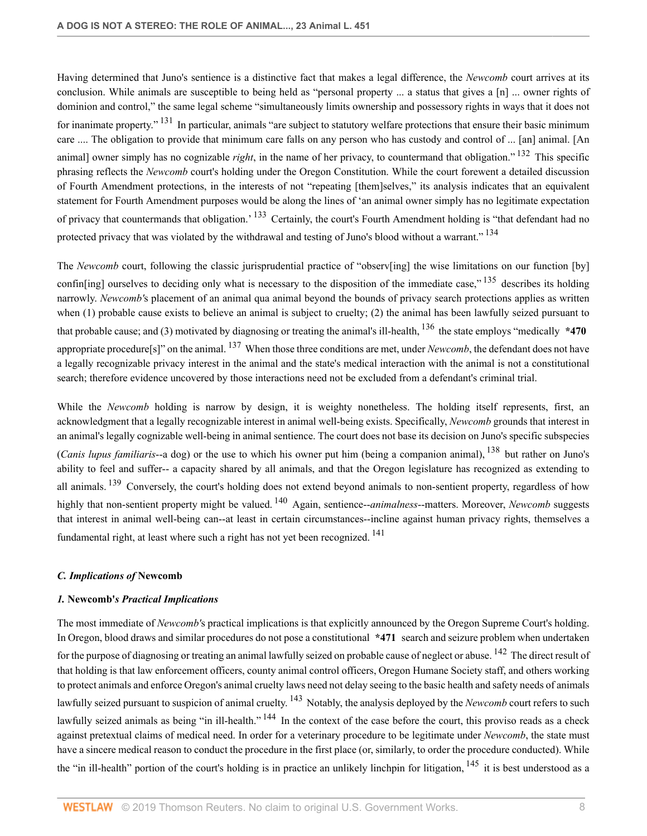Having determined that Juno's sentience is a distinctive fact that makes a legal difference, the *Newcomb* court arrives at its conclusion. While animals are susceptible to being held as "personal property ... a status that gives a [n] ... owner rights of dominion and control," the same legal scheme "simultaneously limits ownership and possessory rights in ways that it does not for inanimate property."<sup>131</sup> In particular, animals "are subject to statutory welfare protections that ensure their basic minimum care .... The obligation to provide that minimum care falls on any person who has custody and control of ... [an] animal. [An animal] owner simply has no cognizable *right*, in the name of her privacy, to countermand that obligation."<sup>132</sup> This specific phrasing reflects the *Newcomb* court's holding under the Oregon Constitution. While the court forewent a detailed discussion of Fourth Amendment protections, in the interests of not "repeating [them]selves," its analysis indicates that an equivalent statement for Fourth Amendment purposes would be along the lines of 'an animal owner simply has no legitimate expectation of privacy that countermands that obligation.<sup>133</sup> Certainly, the court's Fourth Amendment holding is "that defendant had no protected privacy that was violated by the withdrawal and testing of Juno's blood without a warrant."<sup>134</sup>

The *Newcomb* court, following the classic jurisprudential practice of "observ[ing] the wise limitations on our function [by] confiniting] ourselves to deciding only what is necessary to the disposition of the immediate case,"  $135$  describes its holding narrowly. *Newcomb'*s placement of an animal qua animal beyond the bounds of privacy search protections applies as written when (1) probable cause exists to believe an animal is subject to cruelty; (2) the animal has been lawfully seized pursuant to that probable cause; and (3) motivated by diagnosing or treating the animal's ill-health, <sup>136</sup> the state employs "medically **\*470** appropriate procedure[s]" on the animal. <sup>137</sup> When those three conditions are met, under *Newcomb*, the defendant does not have a legally recognizable privacy interest in the animal and the state's medical interaction with the animal is not a constitutional search; therefore evidence uncovered by those interactions need not be excluded from a defendant's criminal trial.

While the *Newcomb* holding is narrow by design, it is weighty nonetheless. The holding itself represents, first, an acknowledgment that a legally recognizable interest in animal well-being exists. Specifically, *Newcomb* grounds that interest in an animal's legally cognizable well-being in animal sentience. The court does not base its decision on Juno's specific subspecies (*Canis lupus familiaris*--a dog) or the use to which his owner put him (being a companion animal), <sup>138</sup> but rather on Juno's ability to feel and suffer-- a capacity shared by all animals, and that the Oregon legislature has recognized as extending to all animals. <sup>139</sup> Conversely, the court's holding does not extend beyond animals to non-sentient property, regardless of how highly that non-sentient property might be valued. <sup>140</sup> Again, sentience--*animalness*--matters. Moreover, *Newcomb* suggests that interest in animal well-being can--at least in certain circumstances--incline against human privacy rights, themselves a fundamental right, at least where such a right has not yet been recognized. <sup>141</sup>

## *C. Implications of* **Newcomb**

## *1.* **Newcomb'***s Practical Implications*

The most immediate of *Newcomb'*s practical implications is that explicitly announced by the Oregon Supreme Court's holding. In Oregon, blood draws and similar procedures do not pose a constitutional **\*471** search and seizure problem when undertaken for the purpose of diagnosing or treating an animal lawfully seized on probable cause of neglect or abuse. <sup>142</sup> The direct result of that holding is that law enforcement officers, county animal control officers, Oregon Humane Society staff, and others working to protect animals and enforce Oregon's animal cruelty laws need not delay seeing to the basic health and safety needs of animals lawfully seized pursuant to suspicion of animal cruelty. <sup>143</sup> Notably, the analysis deployed by the *Newcomb* court refers to such lawfully seized animals as being "in ill-health." <sup>144</sup> In the context of the case before the court, this proviso reads as a check against pretextual claims of medical need. In order for a veterinary procedure to be legitimate under *Newcomb*, the state must have a sincere medical reason to conduct the procedure in the first place (or, similarly, to order the procedure conducted). While the "in ill-health" portion of the court's holding is in practice an unlikely linchpin for litigation,  $^{145}$  it is best understood as a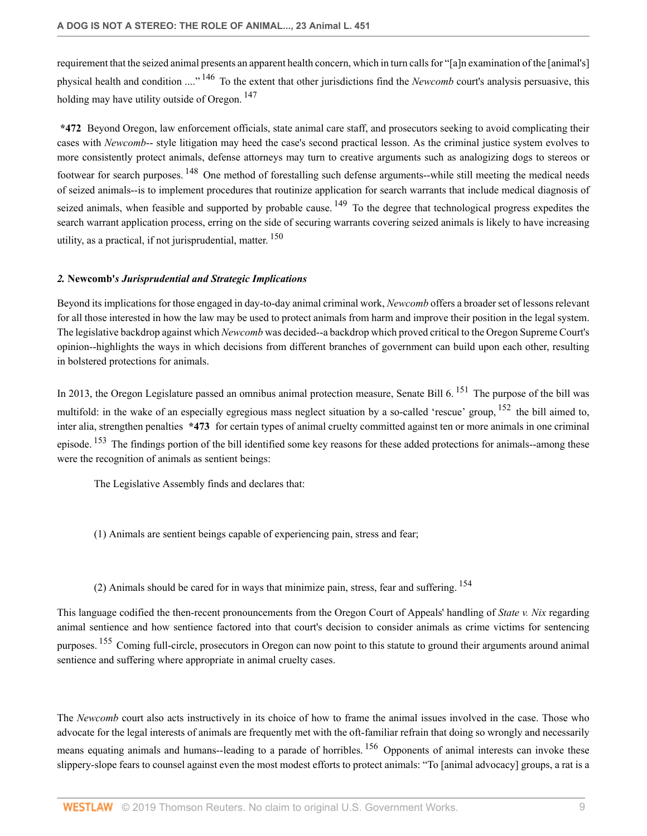requirement that the seized animal presents an apparent health concern, which in turn calls for "[a]n examination of the [animal's] physical health and condition ...." <sup>146</sup> To the extent that other jurisdictions find the *Newcomb* court's analysis persuasive, this holding may have utility outside of Oregon. <sup>147</sup>

**\*472** Beyond Oregon, law enforcement officials, state animal care staff, and prosecutors seeking to avoid complicating their cases with *Newcomb*-- style litigation may heed the case's second practical lesson. As the criminal justice system evolves to more consistently protect animals, defense attorneys may turn to creative arguments such as analogizing dogs to stereos or footwear for search purposes. <sup>148</sup> One method of forestalling such defense arguments--while still meeting the medical needs of seized animals--is to implement procedures that routinize application for search warrants that include medical diagnosis of seized animals, when feasible and supported by probable cause. <sup>149</sup> To the degree that technological progress expedites the search warrant application process, erring on the side of securing warrants covering seized animals is likely to have increasing utility, as a practical, if not jurisprudential, matter.  $150$ 

## *2.* **Newcomb'***s Jurisprudential and Strategic Implications*

Beyond its implications for those engaged in day-to-day animal criminal work, *Newcomb* offers a broader set of lessons relevant for all those interested in how the law may be used to protect animals from harm and improve their position in the legal system. The legislative backdrop against which *Newcomb* was decided--a backdrop which proved critical to the Oregon Supreme Court's opinion--highlights the ways in which decisions from different branches of government can build upon each other, resulting in bolstered protections for animals.

In 2013, the Oregon Legislature passed an omnibus animal protection measure, Senate Bill 6.<sup>151</sup> The purpose of the bill was multifold: in the wake of an especially egregious mass neglect situation by a so-called 'rescue' group, <sup>152</sup> the bill aimed to, inter alia, strengthen penalties **\*473** for certain types of animal cruelty committed against ten or more animals in one criminal episode. <sup>153</sup> The findings portion of the bill identified some key reasons for these added protections for animals--among these were the recognition of animals as sentient beings:

The Legislative Assembly finds and declares that:

- (1) Animals are sentient beings capable of experiencing pain, stress and fear;
- (2) Animals should be cared for in ways that minimize pain, stress, fear and suffering. <sup>154</sup>

This language codified the then-recent pronouncements from the Oregon Court of Appeals' handling of *State v. Nix* regarding animal sentience and how sentience factored into that court's decision to consider animals as crime victims for sentencing purposes. <sup>155</sup> Coming full-circle, prosecutors in Oregon can now point to this statute to ground their arguments around animal sentience and suffering where appropriate in animal cruelty cases.

The *Newcomb* court also acts instructively in its choice of how to frame the animal issues involved in the case. Those who advocate for the legal interests of animals are frequently met with the oft-familiar refrain that doing so wrongly and necessarily means equating animals and humans--leading to a parade of horribles. <sup>156</sup> Opponents of animal interests can invoke these slippery-slope fears to counsel against even the most modest efforts to protect animals: "To [animal advocacy] groups, a rat is a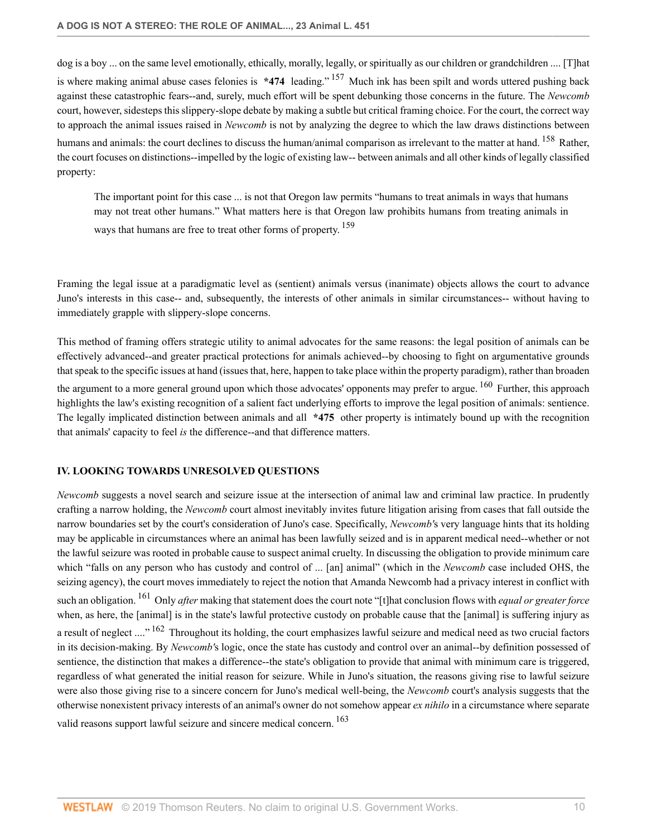dog is a boy ... on the same level emotionally, ethically, morally, legally, or spiritually as our children or grandchildren .... [T]hat is where making animal abuse cases felonies is **\*474** leading." <sup>157</sup> Much ink has been spilt and words uttered pushing back against these catastrophic fears--and, surely, much effort will be spent debunking those concerns in the future. The *Newcomb* court, however, sidesteps this slippery-slope debate by making a subtle but critical framing choice. For the court, the correct way to approach the animal issues raised in *Newcomb* is not by analyzing the degree to which the law draws distinctions between humans and animals: the court declines to discuss the human/animal comparison as irrelevant to the matter at hand. <sup>158</sup> Rather, the court focuses on distinctions--impelled by the logic of existing law-- between animals and all other kinds of legally classified property:

The important point for this case ... is not that Oregon law permits "humans to treat animals in ways that humans may not treat other humans." What matters here is that Oregon law prohibits humans from treating animals in ways that humans are free to treat other forms of property.<sup>159</sup>

Framing the legal issue at a paradigmatic level as (sentient) animals versus (inanimate) objects allows the court to advance Juno's interests in this case-- and, subsequently, the interests of other animals in similar circumstances-- without having to immediately grapple with slippery-slope concerns.

This method of framing offers strategic utility to animal advocates for the same reasons: the legal position of animals can be effectively advanced--and greater practical protections for animals achieved--by choosing to fight on argumentative grounds that speak to the specific issues at hand (issues that, here, happen to take place within the property paradigm), rather than broaden the argument to a more general ground upon which those advocates' opponents may prefer to argue. <sup>160</sup> Further, this approach highlights the law's existing recognition of a salient fact underlying efforts to improve the legal position of animals: sentience. The legally implicated distinction between animals and all **\*475** other property is intimately bound up with the recognition that animals' capacity to feel *is* the difference--and that difference matters.

## **IV. LOOKING TOWARDS UNRESOLVED QUESTIONS**

*Newcomb* suggests a novel search and seizure issue at the intersection of animal law and criminal law practice. In prudently crafting a narrow holding, the *Newcomb* court almost inevitably invites future litigation arising from cases that fall outside the narrow boundaries set by the court's consideration of Juno's case. Specifically, *Newcomb'*s very language hints that its holding may be applicable in circumstances where an animal has been lawfully seized and is in apparent medical need--whether or not the lawful seizure was rooted in probable cause to suspect animal cruelty. In discussing the obligation to provide minimum care which "falls on any person who has custody and control of ... [an] animal" (which in the *Newcomb* case included OHS, the seizing agency), the court moves immediately to reject the notion that Amanda Newcomb had a privacy interest in conflict with such an obligation. <sup>161</sup> Only *after* making that statement does the court note "[t]hat conclusion flows with *equal or greater force* when, as here, the [animal] is in the state's lawful protective custody on probable cause that the [animal] is suffering injury as a result of neglect ...."<sup>162</sup> Throughout its holding, the court emphasizes lawful seizure and medical need as two crucial factors in its decision-making. By *Newcomb'*s logic, once the state has custody and control over an animal--by definition possessed of sentience, the distinction that makes a difference--the state's obligation to provide that animal with minimum care is triggered, regardless of what generated the initial reason for seizure. While in Juno's situation, the reasons giving rise to lawful seizure were also those giving rise to a sincere concern for Juno's medical well-being, the *Newcomb* court's analysis suggests that the otherwise nonexistent privacy interests of an animal's owner do not somehow appear *ex nihilo* in a circumstance where separate valid reasons support lawful seizure and sincere medical concern. <sup>163</sup>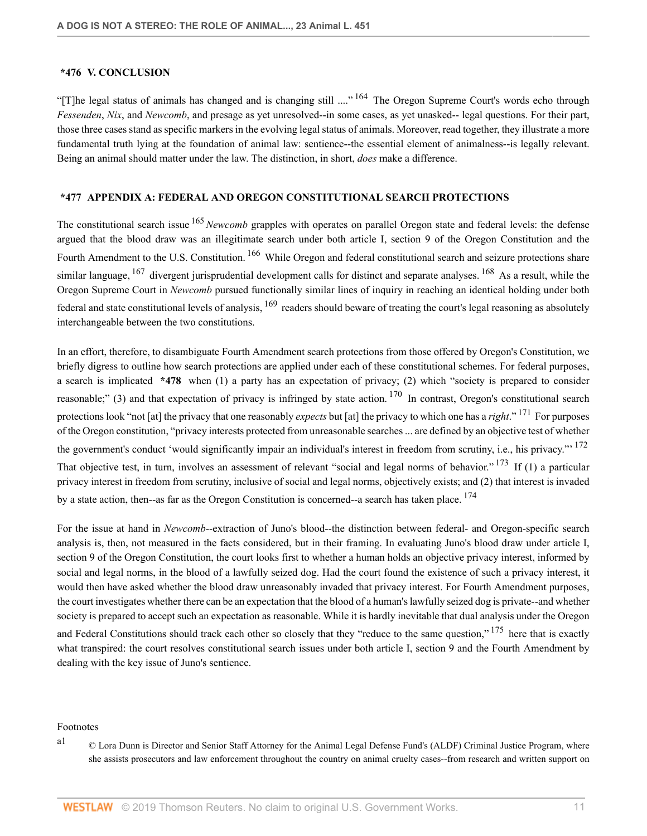#### **\*476 V. CONCLUSION**

"[T]he legal status of animals has changed and is changing still ...."<sup>164</sup> The Oregon Supreme Court's words echo through *Fessenden*, *Nix*, and *Newcomb*, and presage as yet unresolved--in some cases, as yet unasked-- legal questions. For their part, those three cases stand as specific markers in the evolving legal status of animals. Moreover, read together, they illustrate a more fundamental truth lying at the foundation of animal law: sentience--the essential element of animalness--is legally relevant. Being an animal should matter under the law. The distinction, in short, *does* make a difference.

## **\*477 APPENDIX A: FEDERAL AND OREGON CONSTITUTIONAL SEARCH PROTECTIONS**

The constitutional search issue <sup>165</sup>*Newcomb* grapples with operates on parallel Oregon state and federal levels: the defense argued that the blood draw was an illegitimate search under both article I, section 9 of the Oregon Constitution and the Fourth Amendment to the U.S. Constitution.<sup>166</sup> While Oregon and federal constitutional search and seizure protections share similar language,  $167$  divergent jurisprudential development calls for distinct and separate analyses.  $168$  As a result, while the Oregon Supreme Court in *Newcomb* pursued functionally similar lines of inquiry in reaching an identical holding under both federal and state constitutional levels of analysis,  $^{169}$  readers should beware of treating the court's legal reasoning as absolutely interchangeable between the two constitutions.

In an effort, therefore, to disambiguate Fourth Amendment search protections from those offered by Oregon's Constitution, we briefly digress to outline how search protections are applied under each of these constitutional schemes. For federal purposes, a search is implicated **\*478** when (1) a party has an expectation of privacy; (2) which "society is prepared to consider reasonable;" (3) and that expectation of privacy is infringed by state action.  $170$  In contrast, Oregon's constitutional search protections look "not [at] the privacy that one reasonably *expects* but [at] the privacy to which one has a *right*." <sup>171</sup> For purposes of the Oregon constitution, "privacy interests protected from unreasonable searches ... are defined by an objective test of whether the government's conduct 'would significantly impair an individual's interest in freedom from scrutiny, i.e., his privacy."<sup>172</sup> That objective test, in turn, involves an assessment of relevant "social and legal norms of behavior."<sup>173</sup> If (1) a particular privacy interest in freedom from scrutiny, inclusive of social and legal norms, objectively exists; and (2) that interest is invaded by a state action, then--as far as the Oregon Constitution is concerned--a search has taken place. <sup>174</sup>

For the issue at hand in *Newcomb*--extraction of Juno's blood--the distinction between federal- and Oregon-specific search analysis is, then, not measured in the facts considered, but in their framing. In evaluating Juno's blood draw under article I, section 9 of the Oregon Constitution, the court looks first to whether a human holds an objective privacy interest, informed by social and legal norms, in the blood of a lawfully seized dog. Had the court found the existence of such a privacy interest, it would then have asked whether the blood draw unreasonably invaded that privacy interest. For Fourth Amendment purposes, the court investigates whether there can be an expectation that the blood of a human's lawfully seized dog is private--and whether society is prepared to accept such an expectation as reasonable. While it is hardly inevitable that dual analysis under the Oregon

and Federal Constitutions should track each other so closely that they "reduce to the same question," <sup>175</sup> here that is exactly what transpired: the court resolves constitutional search issues under both article I, section 9 and the Fourth Amendment by dealing with the key issue of Juno's sentience.

#### Footnotes

a1 © Lora Dunn is Director and Senior Staff Attorney for the Animal Legal Defense Fund's (ALDF) Criminal Justice Program, where she assists prosecutors and law enforcement throughout the country on animal cruelty cases--from research and written support on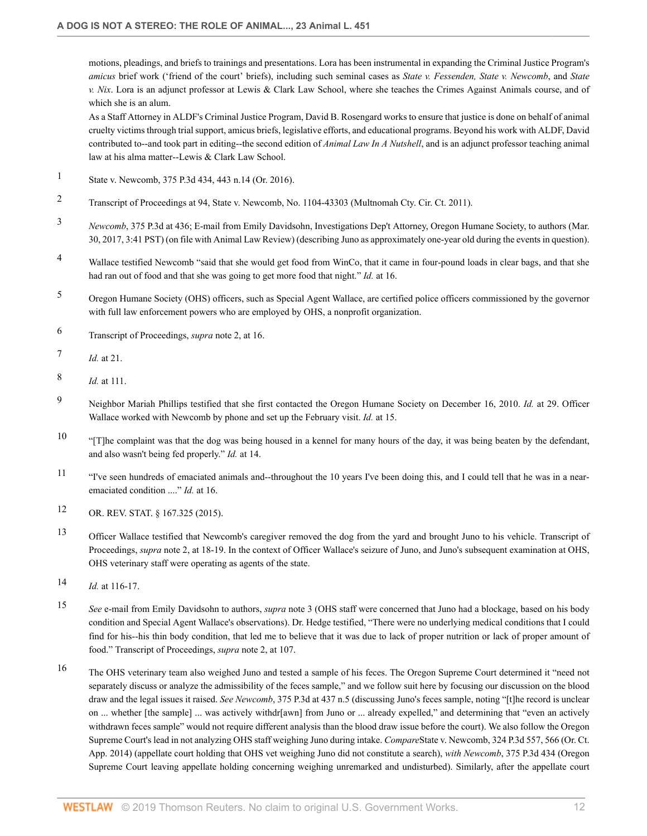motions, pleadings, and briefs to trainings and presentations. Lora has been instrumental in expanding the Criminal Justice Program's *amicus* brief work ('friend of the court' briefs), including such seminal cases as *State v. Fessenden, State v. Newcomb*, and *State v. Nix*. Lora is an adjunct professor at Lewis & Clark Law School, where she teaches the Crimes Against Animals course, and of which she is an alum.

As a Staff Attorney in ALDF's Criminal Justice Program, David B. Rosengard works to ensure that justice is done on behalf of animal cruelty victims through trial support, amicus briefs, legislative efforts, and educational programs. Beyond his work with ALDF, David contributed to--and took part in editing--the second edition of *Animal Law In A Nutshell*, and is an adjunct professor teaching animal law at his alma matter--Lewis & Clark Law School.

- 1 State v. Newcomb, 375 P.3d 434, 443 n.14 (Or. 2016).
- 2 Transcript of Proceedings at 94, State v. Newcomb, No. 1104-43303 (Multnomah Cty. Cir. Ct. 2011).
- 3 *Newcomb*, 375 P.3d at 436; E-mail from Emily Davidsohn, Investigations Dep't Attorney, Oregon Humane Society, to authors (Mar. 30, 2017, 3:41 PST) (on file with Animal Law Review) (describing Juno as approximately one-year old during the events in question).
- 4 Wallace testified Newcomb "said that she would get food from WinCo, that it came in four-pound loads in clear bags, and that she had ran out of food and that she was going to get more food that night." *Id.* at 16.
- 5 Oregon Humane Society (OHS) officers, such as Special Agent Wallace, are certified police officers commissioned by the governor with full law enforcement powers who are employed by OHS, a nonprofit organization.
- 6 Transcript of Proceedings, *supra* note 2, at 16.
- 7 *Id.* at 21.
- 8 *Id.* at 111.
- 9 Neighbor Mariah Phillips testified that she first contacted the Oregon Humane Society on December 16, 2010. *Id.* at 29. Officer Wallace worked with Newcomb by phone and set up the February visit. *Id.* at 15.
- <sup>10</sup> "[T]he complaint was that the dog was being housed in a kennel for many hours of the day, it was being beaten by the defendant, and also wasn't being fed properly." *Id.* at 14.
- <sup>11</sup> "I've seen hundreds of emaciated animals and--throughout the 10 years I've been doing this, and I could tell that he was in a nearemaciated condition ...." *Id.* at 16.
- 12 OR. REV. STAT. § 167.325 (2015).
- 13 Officer Wallace testified that Newcomb's caregiver removed the dog from the yard and brought Juno to his vehicle. Transcript of Proceedings, *supra* note 2, at 18-19. In the context of Officer Wallace's seizure of Juno, and Juno's subsequent examination at OHS, OHS veterinary staff were operating as agents of the state.
- 14 *Id.* at 116-17.
- 15 *See* e-mail from Emily Davidsohn to authors, *supra* note 3 (OHS staff were concerned that Juno had a blockage, based on his body condition and Special Agent Wallace's observations). Dr. Hedge testified, "There were no underlying medical conditions that I could find for his--his thin body condition, that led me to believe that it was due to lack of proper nutrition or lack of proper amount of food." Transcript of Proceedings, *supra* note 2, at 107.
- 16 The OHS veterinary team also weighed Juno and tested a sample of his feces. The Oregon Supreme Court determined it "need not separately discuss or analyze the admissibility of the feces sample," and we follow suit here by focusing our discussion on the blood draw and the legal issues it raised. *See Newcomb*, 375 P.3d at 437 n.5 (discussing Juno's feces sample, noting "[t]he record is unclear on ... whether [the sample] ... was actively withdr[awn] from Juno or ... already expelled," and determining that "even an actively withdrawn feces sample" would not require different analysis than the blood draw issue before the court). We also follow the Oregon Supreme Court's lead in not analyzing OHS staff weighing Juno during intake. *Compare*State v. Newcomb, 324 P.3d 557, 566 (Or. Ct. App. 2014) (appellate court holding that OHS vet weighing Juno did not constitute a search), *with Newcomb*, 375 P.3d 434 (Oregon Supreme Court leaving appellate holding concerning weighing unremarked and undisturbed). Similarly, after the appellate court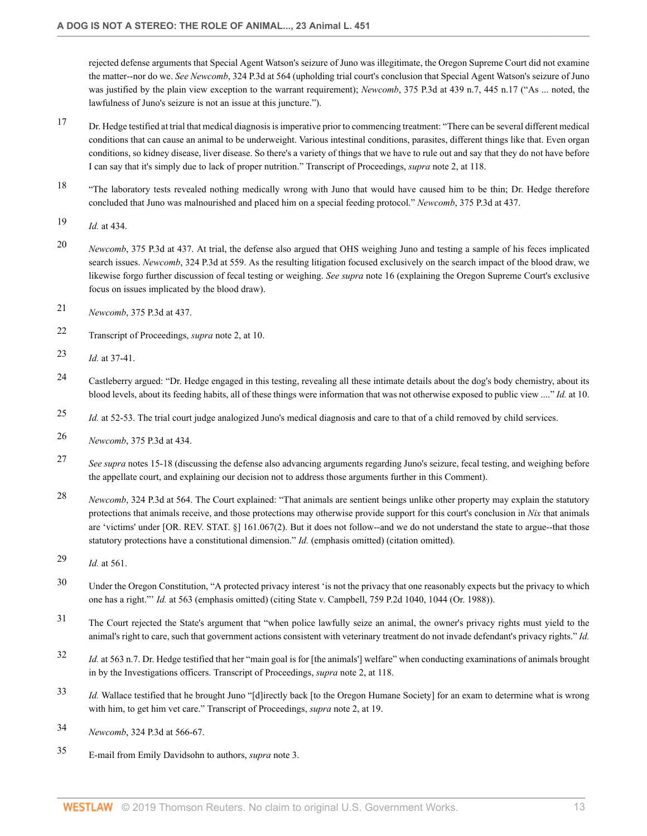rejected defense arguments that Special Agent Watson's seizure of Juno was illegitimate, the Oregon Supreme Court did not examine the matter--nor do we. *See Newcomb*, 324 P.3d at 564 (upholding trial court's conclusion that Special Agent Watson's seizure of Juno was justified by the plain view exception to the warrant requirement); *Newcomb*, 375 P.3d at 439 n.7, 445 n.17 ("As ... noted, the lawfulness of Juno's seizure is not an issue at this juncture.").

- 17 Dr. Hedge testified at trial that medical diagnosis is imperative prior to commencing treatment: "There can be several different medical conditions that can cause an animal to be underweight. Various intestinal conditions, parasites, different things like that. Even organ conditions, so kidney disease, liver disease. So there's a variety of things that we have to rule out and say that they do not have before I can say that it's simply due to lack of proper nutrition." Transcript of Proceedings, *supra* note 2, at 118.
- <sup>18</sup> "The laboratory tests revealed nothing medically wrong with Juno that would have caused him to be thin; Dr. Hedge therefore concluded that Juno was malnourished and placed him on a special feeding protocol." *Newcomb*, 375 P.3d at 437.
- 19 *Id.* at 434.
- 20 *Newcomb*, 375 P.3d at 437. At trial, the defense also argued that OHS weighing Juno and testing a sample of his feces implicated search issues. *Newcomb*, 324 P.3d at 559. As the resulting litigation focused exclusively on the search impact of the blood draw, we likewise forgo further discussion of fecal testing or weighing. *See supra* note 16 (explaining the Oregon Supreme Court's exclusive focus on issues implicated by the blood draw).
- 21 *Newcomb*, 375 P.3d at 437.
- 22 Transcript of Proceedings, *supra* note 2, at 10.
- 23 *Id.* at 37-41.
- 24 Castleberry argued: "Dr. Hedge engaged in this testing, revealing all these intimate details about the dog's body chemistry, about its blood levels, about its feeding habits, all of these things were information that was not otherwise exposed to public view ...." *Id.* at 10.
- 25 *Id.* at 52-53. The trial court judge analogized Juno's medical diagnosis and care to that of a child removed by child services.
- 26 *Newcomb*, 375 P.3d at 434.
- 27 *See supra* notes 15-18 (discussing the defense also advancing arguments regarding Juno's seizure, fecal testing, and weighing before the appellate court, and explaining our decision not to address those arguments further in this Comment).
- 28 *Newcomb*, 324 P.3d at 564. The Court explained: "That animals are sentient beings unlike other property may explain the statutory protections that animals receive, and those protections may otherwise provide support for this court's conclusion in *Nix* that animals are 'victims' under [OR. REV. STAT. §] 161.067(2). But it does not follow--and we do not understand the state to argue--that those statutory protections have a constitutional dimension." *Id.* (emphasis omitted) (citation omitted).
- 29 *Id.* at 561.
- <sup>30</sup> Under the Oregon Constitution, "A protected privacy interest 'is not the privacy that one reasonably expects but the privacy to which one has a right."' *Id.* at 563 (emphasis omitted) (citing State v. Campbell, 759 P.2d 1040, 1044 (Or. 1988)).
- <sup>31</sup> The Court rejected the State's argument that "when police lawfully seize an animal, the owner's privacy rights must yield to the animal's right to care, such that government actions consistent with veterinary treatment do not invade defendant's privacy rights." *Id.*
- 32 *Id.* at 563 n.7. Dr. Hedge testified that her "main goal is for [the animals'] welfare" when conducting examinations of animals brought in by the Investigations officers. Transcript of Proceedings, *supra* note 2, at 118.
- 33 *Id.* Wallace testified that he brought Juno "[d]irectly back [to the Oregon Humane Society] for an exam to determine what is wrong with him, to get him vet care." Transcript of Proceedings, *supra* note 2, at 19.
- 34 *Newcomb*, 324 P.3d at 566-67.
- 35 E-mail from Emily Davidsohn to authors, *supra* note 3.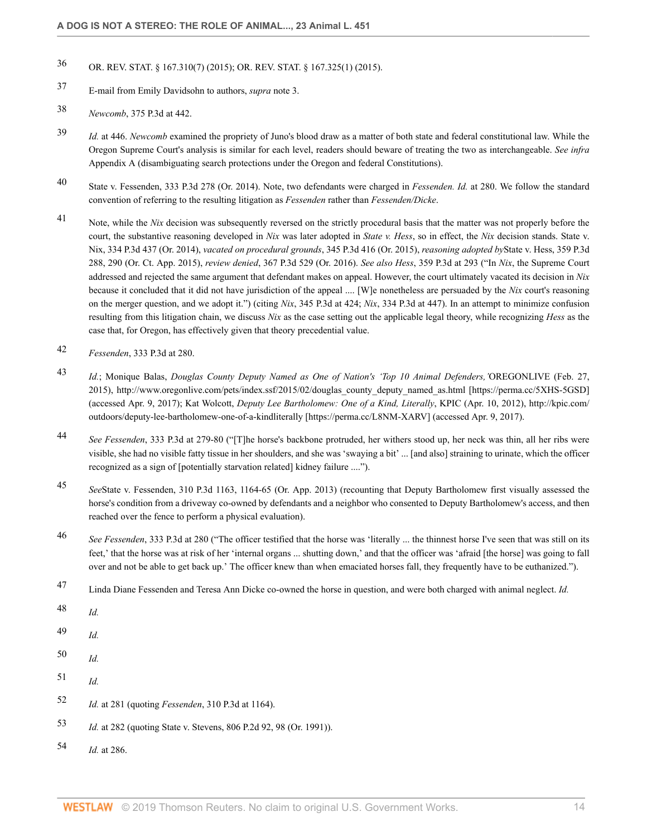# 36 OR. REV. STAT. § 167.310(7) (2015); OR. REV. STAT. § 167.325(1) (2015).

- 37 E-mail from Emily Davidsohn to authors, *supra* note 3.
- 38 *Newcomb*, 375 P.3d at 442.
- 39 *Id.* at 446. *Newcomb* examined the propriety of Juno's blood draw as a matter of both state and federal constitutional law. While the Oregon Supreme Court's analysis is similar for each level, readers should beware of treating the two as interchangeable. *See infra* Appendix A (disambiguating search protections under the Oregon and federal Constitutions).
- 40 State v. Fessenden, 333 P.3d 278 (Or. 2014). Note, two defendants were charged in *Fessenden. Id.* at 280. We follow the standard convention of referring to the resulting litigation as *Fessenden* rather than *Fessenden/Dicke*.
- 41 Note, while the *Nix* decision was subsequently reversed on the strictly procedural basis that the matter was not properly before the court, the substantive reasoning developed in *Nix* was later adopted in *State v. Hess*, so in effect, the *Nix* decision stands. State v. Nix, 334 P.3d 437 (Or. 2014), *vacated on procedural grounds*, 345 P.3d 416 (Or. 2015), *reasoning adopted by*State v. Hess, 359 P.3d 288, 290 (Or. Ct. App. 2015), *review denied*, 367 P.3d 529 (Or. 2016). *See also Hess*, 359 P.3d at 293 ("In *Nix*, the Supreme Court addressed and rejected the same argument that defendant makes on appeal. However, the court ultimately vacated its decision in *Nix* because it concluded that it did not have jurisdiction of the appeal .... [W]e nonetheless are persuaded by the *Nix* court's reasoning on the merger question, and we adopt it.") (citing *Nix*, 345 P.3d at 424; *Nix*, 334 P.3d at 447). In an attempt to minimize confusion resulting from this litigation chain, we discuss *Nix* as the case setting out the applicable legal theory, while recognizing *Hess* as the case that, for Oregon, has effectively given that theory precedential value.
- 42 *Fessenden*, 333 P.3d at 280.
- 43 *Id.*; Monique Balas, *Douglas County Deputy Named as One of Nation's 'Top 10 Animal Defenders,'*OREGONLIVE (Feb. 27, 2015), http://www.oregonlive.com/pets/index.ssf/2015/02/douglas\_county\_deputy\_named\_as.html [https://perma.cc/5XHS-5GSD] (accessed Apr. 9, 2017); Kat Wolcott, *Deputy Lee Bartholomew: One of a Kind, Literally*, KPIC (Apr. 10, 2012), http://kpic.com/ outdoors/deputy-lee-bartholomew-one-of-a-kindliterally [https://perma.cc/L8NM-XARV] (accessed Apr. 9, 2017).
- 44 *See Fessenden*, 333 P.3d at 279-80 ("[T]he horse's backbone protruded, her withers stood up, her neck was thin, all her ribs were visible, she had no visible fatty tissue in her shoulders, and she was 'swaying a bit' ... [and also] straining to urinate, which the officer recognized as a sign of [potentially starvation related] kidney failure ....").
- 45 *See*State v. Fessenden, 310 P.3d 1163, 1164-65 (Or. App. 2013) (recounting that Deputy Bartholomew first visually assessed the horse's condition from a driveway co-owned by defendants and a neighbor who consented to Deputy Bartholomew's access, and then reached over the fence to perform a physical evaluation).
- 46 *See Fessenden*, 333 P.3d at 280 ("The officer testified that the horse was 'literally ... the thinnest horse I've seen that was still on its feet,' that the horse was at risk of her 'internal organs ... shutting down,' and that the officer was 'afraid [the horse] was going to fall over and not be able to get back up.' The officer knew than when emaciated horses fall, they frequently have to be euthanized.").
- 47 Linda Diane Fessenden and Teresa Ann Dicke co-owned the horse in question, and were both charged with animal neglect. *Id.*
- 48 *Id.*
- 49 *Id.*
- 50 *Id.*
- 51 *Id.*
- 52 *Id.* at 281 (quoting *Fessenden*, 310 P.3d at 1164).
- 53 *Id.* at 282 (quoting State v. Stevens, 806 P.2d 92, 98 (Or. 1991)).
- 54 *Id.* at 286.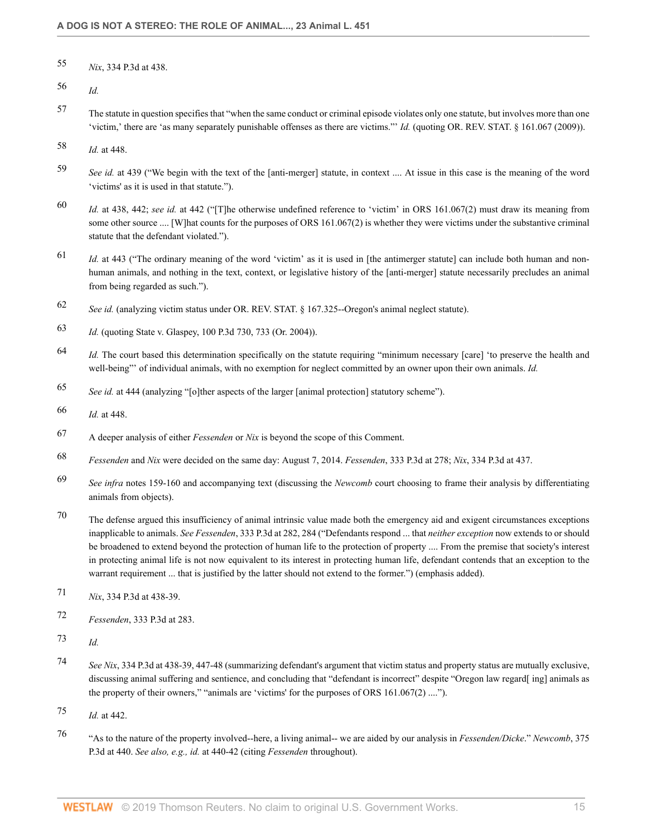- 55 *Nix*, 334 P.3d at 438.
- 56 *Id.*
- 57 The statute in question specifies that "when the same conduct or criminal episode violates only one statute, but involves more than one 'victim,' there are 'as many separately punishable offenses as there are victims."' *Id.* (quoting OR. REV. STAT. § 161.067 (2009)).
- 58 *Id.* at 448.
- 59 *See id.* at 439 ("We begin with the text of the [anti-merger] statute, in context .... At issue in this case is the meaning of the word 'victims' as it is used in that statute.").
- 60 *Id.* at 438, 442; *see id.* at 442 ("[T]he otherwise undefined reference to 'victim' in ORS 161.067(2) must draw its meaning from some other source .... [W]hat counts for the purposes of ORS 161.067(2) is whether they were victims under the substantive criminal statute that the defendant violated.").
- 61 *Id.* at 443 ("The ordinary meaning of the word 'victim' as it is used in [the antimerger statute] can include both human and nonhuman animals, and nothing in the text, context, or legislative history of the [anti-merger] statute necessarily precludes an animal from being regarded as such.").
- 62 *See id.* (analyzing victim status under OR. REV. STAT. § 167.325--Oregon's animal neglect statute).
- 63 *Id.* (quoting State v. Glaspey, 100 P.3d 730, 733 (Or. 2004)).
- 64 *Id.* The court based this determination specifically on the statute requiring "minimum necessary [care] 'to preserve the health and well-being"' of individual animals, with no exemption for neglect committed by an owner upon their own animals. *Id.*
- 65 *See id.* at 444 (analyzing "[o]ther aspects of the larger [animal protection] statutory scheme").
- 66 *Id.* at 448.
- 67 A deeper analysis of either *Fessenden* or *Nix* is beyond the scope of this Comment.
- 68 *Fessenden* and *Nix* were decided on the same day: August 7, 2014. *Fessenden*, 333 P.3d at 278; *Nix*, 334 P.3d at 437.
- 69 *See infra* notes 159-160 and accompanying text (discussing the *Newcomb* court choosing to frame their analysis by differentiating animals from objects).
- 70 The defense argued this insufficiency of animal intrinsic value made both the emergency aid and exigent circumstances exceptions inapplicable to animals. *See Fessenden*, 333 P.3d at 282, 284 ("Defendants respond ... that *neither exception* now extends to or should be broadened to extend beyond the protection of human life to the protection of property .... From the premise that society's interest in protecting animal life is not now equivalent to its interest in protecting human life, defendant contends that an exception to the warrant requirement ... that is justified by the latter should not extend to the former.") (emphasis added).
- 71 *Nix*, 334 P.3d at 438-39.
- 72 *Fessenden*, 333 P.3d at 283.
- 73 *Id.*
- 74 *See Nix*, 334 P.3d at 438-39, 447-48 (summarizing defendant's argument that victim status and property status are mutually exclusive, discussing animal suffering and sentience, and concluding that "defendant is incorrect" despite "Oregon law regard[ ing] animals as the property of their owners," "animals are 'victims' for the purposes of ORS 161.067(2) ....").
- 75 *Id.* at 442.
- 76 "As to the nature of the property involved--here, a living animal-- we are aided by our analysis in *Fessenden/Dicke*." *Newcomb*, 375 P.3d at 440. *See also, e.g., id.* at 440-42 (citing *Fessenden* throughout).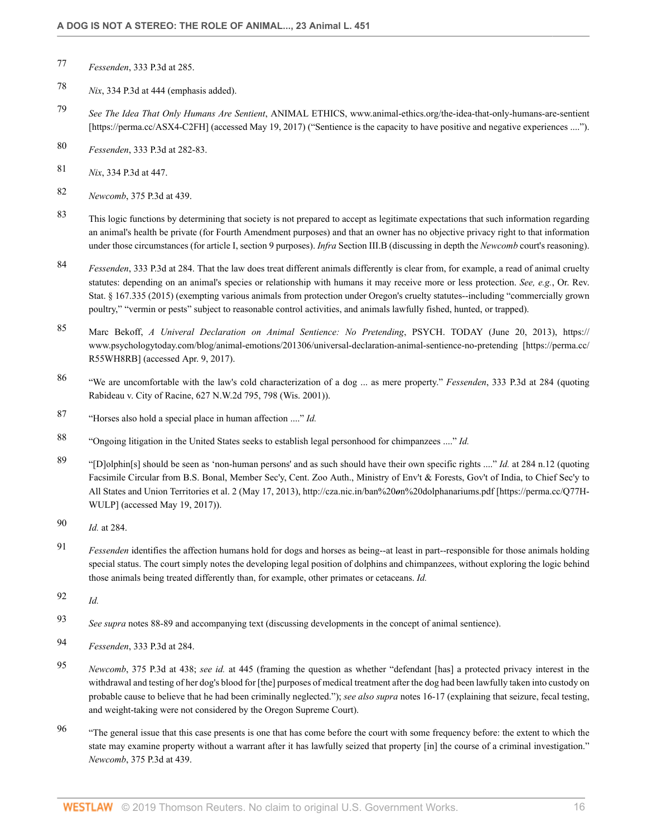- 77 *Fessenden*, 333 P.3d at 285.
- 78 *Nix*, 334 P.3d at 444 (emphasis added).
- 79 *See The Idea That Only Humans Are Sentient*, ANIMAL ETHICS, www.animal-ethics.org/the-idea-that-only-humans-are-sentient [https://perma.cc/ASX4-C2FH] (accessed May 19, 2017) ("Sentience is the capacity to have positive and negative experiences ....").
- 80 *Fessenden*, 333 P.3d at 282-83.
- 81 *Nix*, 334 P.3d at 447.
- 82 *Newcomb*, 375 P.3d at 439.
- 83 This logic functions by determining that society is not prepared to accept as legitimate expectations that such information regarding an animal's health be private (for Fourth Amendment purposes) and that an owner has no objective privacy right to that information under those circumstances (for article I, section 9 purposes). *Infra* Section III.B (discussing in depth the *Newcomb* court's reasoning).
- 84 *Fessenden*, 333 P.3d at 284. That the law does treat different animals differently is clear from, for example, a read of animal cruelty statutes: depending on an animal's species or relationship with humans it may receive more or less protection. *See, e.g.*, Or. Rev. Stat. § 167.335 (2015) (exempting various animals from protection under Oregon's cruelty statutes--including "commercially grown poultry," "vermin or pests" subject to reasonable control activities, and animals lawfully fished, hunted, or trapped).
- 85 Marc Bekoff, *A Univeral Declaration on Animal Sentience: No Pretending*, PSYCH. TODAY (June 20, 2013), https:// www.psychologytoday.com/blog/animal-emotions/201306/universal-declaration-animal-sentience-no-pretending [https://perma.cc/ R55WH8RB] (accessed Apr. 9, 2017).
- 86 "We are uncomfortable with the law's cold characterization of a dog ... as mere property." *Fessenden*, 333 P.3d at 284 (quoting Rabideau v. City of Racine, 627 N.W.2d 795, 798 (Wis. 2001)).
- 87 "Horses also hold a special place in human affection ...." *Id.*
- 88 "Ongoing litigation in the United States seeks to establish legal personhood for chimpanzees ...." *Id.*
- 89 "[D]olphin[s] should be seen as 'non-human persons' and as such should have their own specific rights ...." *Id.* at 284 n.12 (quoting Facsimile Circular from B.S. Bonal, Member Sec'y, Cent. Zoo Auth., Ministry of Env't & Forests, Gov't of India, to Chief Sec'y to All States and Union Territories et al. 2 (May 17, 2013), http://cza.nic.in/ban%20*o*n%20dolphanariums.pdf [https://perma.cc/Q77H-WULP] (accessed May 19, 2017)).
- 90 *Id.* at 284.
- 91 *Fessenden* identifies the affection humans hold for dogs and horses as being--at least in part--responsible for those animals holding special status. The court simply notes the developing legal position of dolphins and chimpanzees, without exploring the logic behind those animals being treated differently than, for example, other primates or cetaceans. *Id.*
- 92 *Id.*
- 93 *See supra* notes 88-89 and accompanying text (discussing developments in the concept of animal sentience).
- 94 *Fessenden*, 333 P.3d at 284.
- 95 *Newcomb*, 375 P.3d at 438; *see id.* at 445 (framing the question as whether "defendant [has] a protected privacy interest in the withdrawal and testing of her dog's blood for [the] purposes of medical treatment after the dog had been lawfully taken into custody on probable cause to believe that he had been criminally neglected."); *see also supra* notes 16-17 (explaining that seizure, fecal testing, and weight-taking were not considered by the Oregon Supreme Court).
- <sup>96</sup> "The general issue that this case presents is one that has come before the court with some frequency before: the extent to which the state may examine property without a warrant after it has lawfully seized that property [in] the course of a criminal investigation." *Newcomb*, 375 P.3d at 439.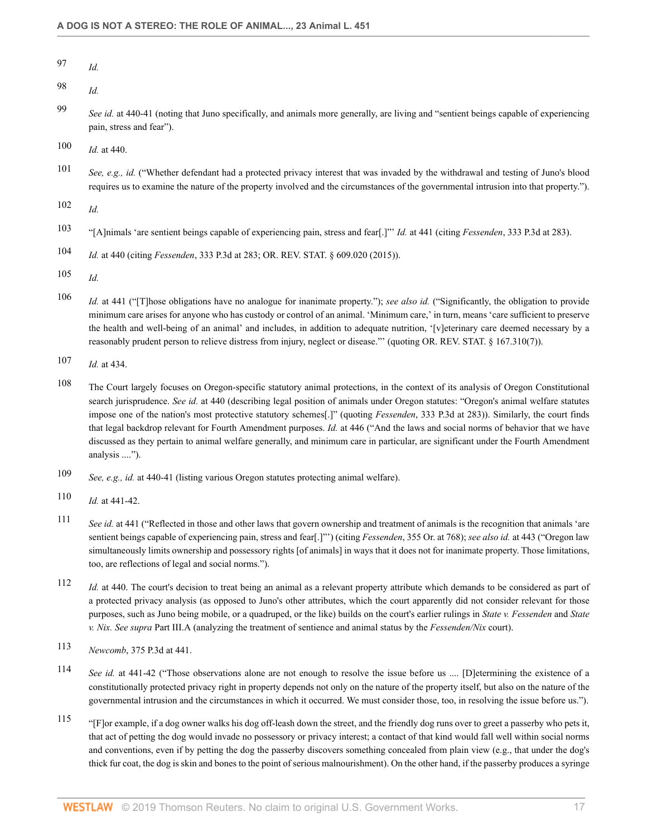97 *Id.*

98 *Id.*

99 *See id.* at 440-41 (noting that Juno specifically, and animals more generally, are living and "sentient beings capable of experiencing pain, stress and fear").

100 *Id.* at 440.

101 *See, e.g., id.* ("Whether defendant had a protected privacy interest that was invaded by the withdrawal and testing of Juno's blood requires us to examine the nature of the property involved and the circumstances of the governmental intrusion into that property.").

102 *Id.*

- 103 "[A]nimals 'are sentient beings capable of experiencing pain, stress and fear[.]"' *Id.* at 441 (citing *Fessenden*, 333 P.3d at 283).
- 104 *Id.* at 440 (citing *Fessenden*, 333 P.3d at 283; OR. REV. STAT. § 609.020 (2015)).
- 105 *Id.*
- 106 *Id.* at 441 ("[T]hose obligations have no analogue for inanimate property."); *see also id.* ("Significantly, the obligation to provide minimum care arises for anyone who has custody or control of an animal. 'Minimum care,' in turn, means 'care sufficient to preserve the health and well-being of an animal' and includes, in addition to adequate nutrition, '[v]eterinary care deemed necessary by a reasonably prudent person to relieve distress from injury, neglect or disease."' (quoting OR. REV. STAT. § 167.310(7)).
- 107 *Id.* at 434.
- 108 The Court largely focuses on Oregon-specific statutory animal protections, in the context of its analysis of Oregon Constitutional search jurisprudence. *See id.* at 440 (describing legal position of animals under Oregon statutes: "Oregon's animal welfare statutes impose one of the nation's most protective statutory schemes[.]" (quoting *Fessenden*, 333 P.3d at 283)). Similarly, the court finds that legal backdrop relevant for Fourth Amendment purposes. *Id.* at 446 ("And the laws and social norms of behavior that we have discussed as they pertain to animal welfare generally, and minimum care in particular, are significant under the Fourth Amendment analysis ....").
- 109 *See, e.g., id.* at 440-41 (listing various Oregon statutes protecting animal welfare).
- 110 *Id.* at 441-42.
- 111 *See id.* at 441 ("Reflected in those and other laws that govern ownership and treatment of animals is the recognition that animals 'are sentient beings capable of experiencing pain, stress and fear[.]"') (citing *Fessenden*, 355 Or. at 768); *see also id.* at 443 ("Oregon law simultaneously limits ownership and possessory rights [of animals] in ways that it does not for inanimate property. Those limitations, too, are reflections of legal and social norms.").
- 112 *Id.* at 440. The court's decision to treat being an animal as a relevant property attribute which demands to be considered as part of a protected privacy analysis (as opposed to Juno's other attributes, which the court apparently did not consider relevant for those purposes, such as Juno being mobile, or a quadruped, or the like) builds on the court's earlier rulings in *State v. Fessenden* and *State v. Nix. See supra* Part III.A (analyzing the treatment of sentience and animal status by the *Fessenden/Nix* court).
- 113 *Newcomb*, 375 P.3d at 441.
- 114 *See id.* at 441-42 ("Those observations alone are not enough to resolve the issue before us .... [D]etermining the existence of a constitutionally protected privacy right in property depends not only on the nature of the property itself, but also on the nature of the governmental intrusion and the circumstances in which it occurred. We must consider those, too, in resolving the issue before us.").
- 115 "[F]or example, if a dog owner walks his dog off-leash down the street, and the friendly dog runs over to greet a passerby who pets it, that act of petting the dog would invade no possessory or privacy interest; a contact of that kind would fall well within social norms and conventions, even if by petting the dog the passerby discovers something concealed from plain view (e.g., that under the dog's thick fur coat, the dog is skin and bones to the point of serious malnourishment). On the other hand, if the passerby produces a syringe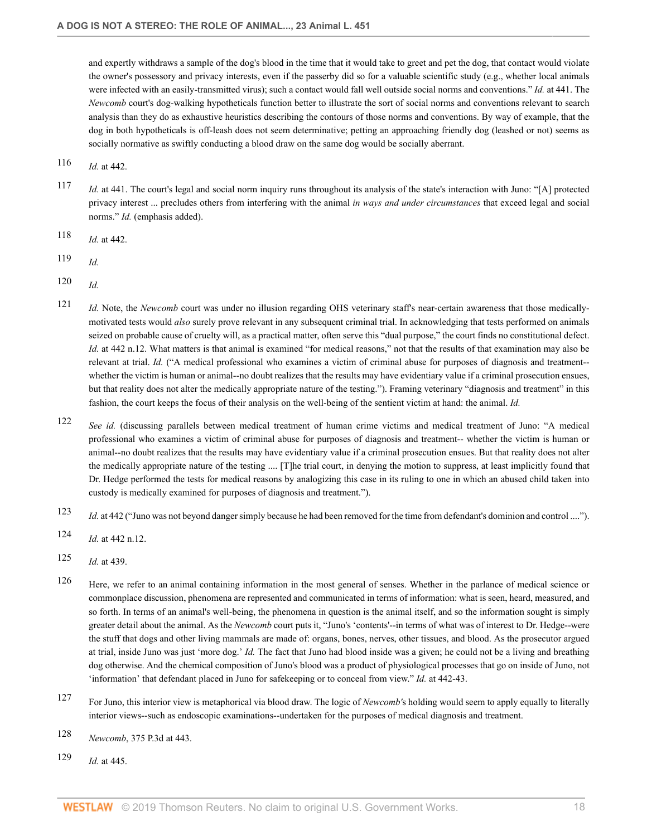and expertly withdraws a sample of the dog's blood in the time that it would take to greet and pet the dog, that contact would violate the owner's possessory and privacy interests, even if the passerby did so for a valuable scientific study (e.g., whether local animals were infected with an easily-transmitted virus); such a contact would fall well outside social norms and conventions." *Id.* at 441. The *Newcomb* court's dog-walking hypotheticals function better to illustrate the sort of social norms and conventions relevant to search analysis than they do as exhaustive heuristics describing the contours of those norms and conventions. By way of example, that the dog in both hypotheticals is off-leash does not seem determinative; petting an approaching friendly dog (leashed or not) seems as socially normative as swiftly conducting a blood draw on the same dog would be socially aberrant.

- 116 *Id.* at 442.
- 117 *Id.* at 441. The court's legal and social norm inquiry runs throughout its analysis of the state's interaction with Juno: "[A] protected privacy interest ... precludes others from interfering with the animal *in ways and under circumstances* that exceed legal and social norms." *Id.* (emphasis added).
- 118 *Id.* at 442.
- 119 *Id.*
- 120 *Id.*
- 121 *Id.* Note, the *Newcomb* court was under no illusion regarding OHS veterinary staff's near-certain awareness that those medicallymotivated tests would *also* surely prove relevant in any subsequent criminal trial. In acknowledging that tests performed on animals seized on probable cause of cruelty will, as a practical matter, often serve this "dual purpose," the court finds no constitutional defect. *Id.* at 442 n.12. What matters is that animal is examined "for medical reasons," not that the results of that examination may also be relevant at trial. *Id.* ("A medical professional who examines a victim of criminal abuse for purposes of diagnosis and treatment- whether the victim is human or animal--no doubt realizes that the results may have evidentiary value if a criminal prosecution ensues, but that reality does not alter the medically appropriate nature of the testing."). Framing veterinary "diagnosis and treatment" in this fashion, the court keeps the focus of their analysis on the well-being of the sentient victim at hand: the animal. *Id.*
- 122 *See id.* (discussing parallels between medical treatment of human crime victims and medical treatment of Juno: "A medical professional who examines a victim of criminal abuse for purposes of diagnosis and treatment-- whether the victim is human or animal--no doubt realizes that the results may have evidentiary value if a criminal prosecution ensues. But that reality does not alter the medically appropriate nature of the testing .... [T]he trial court, in denying the motion to suppress, at least implicitly found that Dr. Hedge performed the tests for medical reasons by analogizing this case in its ruling to one in which an abused child taken into custody is medically examined for purposes of diagnosis and treatment.").
- 123 *Id.* at 442 ("Juno was not beyond danger simply because he had been removed for the time from defendant's dominion and control ....").
- 124 *Id.* at 442 n.12.
- 125 *Id.* at 439.
- 126 Here, we refer to an animal containing information in the most general of senses. Whether in the parlance of medical science or commonplace discussion, phenomena are represented and communicated in terms of information: what is seen, heard, measured, and so forth. In terms of an animal's well-being, the phenomena in question is the animal itself, and so the information sought is simply greater detail about the animal. As the *Newcomb* court puts it, "Juno's 'contents'--in terms of what was of interest to Dr. Hedge--were the stuff that dogs and other living mammals are made of: organs, bones, nerves, other tissues, and blood. As the prosecutor argued at trial, inside Juno was just 'more dog.' *Id.* The fact that Juno had blood inside was a given; he could not be a living and breathing dog otherwise. And the chemical composition of Juno's blood was a product of physiological processes that go on inside of Juno, not 'information' that defendant placed in Juno for safekeeping or to conceal from view." *Id.* at 442-43.
- 127 For Juno, this interior view is metaphorical via blood draw. The logic of *Newcomb'*s holding would seem to apply equally to literally interior views--such as endoscopic examinations--undertaken for the purposes of medical diagnosis and treatment.
- 128 *Newcomb*, 375 P.3d at 443.
- 129 *Id.* at 445.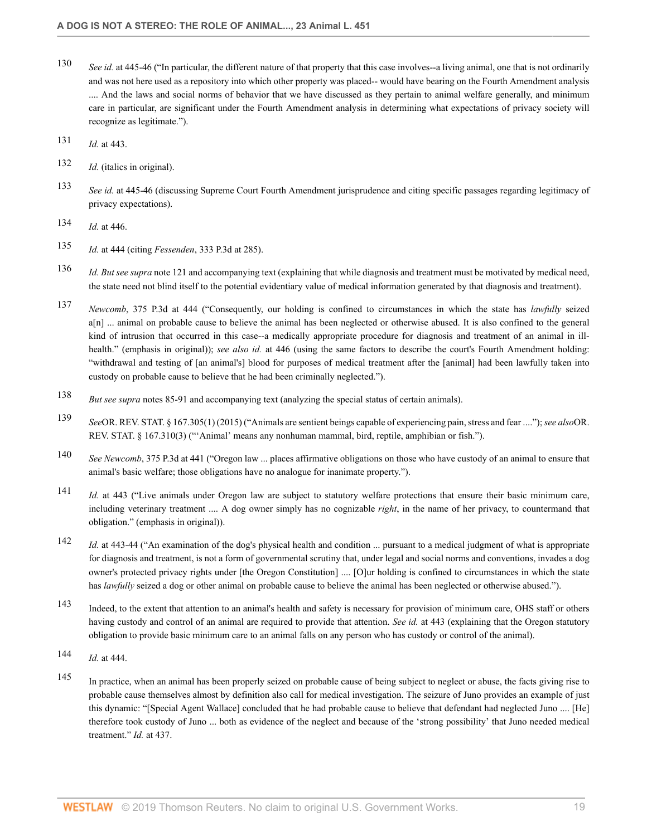- 130 *See id.* at 445-46 ("In particular, the different nature of that property that this case involves--a living animal, one that is not ordinarily and was not here used as a repository into which other property was placed-- would have bearing on the Fourth Amendment analysis .... And the laws and social norms of behavior that we have discussed as they pertain to animal welfare generally, and minimum care in particular, are significant under the Fourth Amendment analysis in determining what expectations of privacy society will recognize as legitimate.").
- 131 *Id.* at 443.
- 132 *Id.* (italics in original).
- 133 *See id.* at 445-46 (discussing Supreme Court Fourth Amendment jurisprudence and citing specific passages regarding legitimacy of privacy expectations).
- 134 *Id.* at 446.
- 135 *Id.* at 444 (citing *Fessenden*, 333 P.3d at 285).
- 136 *Id. But see supra* note 121 and accompanying text (explaining that while diagnosis and treatment must be motivated by medical need, the state need not blind itself to the potential evidentiary value of medical information generated by that diagnosis and treatment).
- 137 *Newcomb*, 375 P.3d at 444 ("Consequently, our holding is confined to circumstances in which the state has *lawfully* seized a[n] ... animal on probable cause to believe the animal has been neglected or otherwise abused. It is also confined to the general kind of intrusion that occurred in this case--a medically appropriate procedure for diagnosis and treatment of an animal in illhealth." (emphasis in original)); *see also id.* at 446 (using the same factors to describe the court's Fourth Amendment holding: "withdrawal and testing of [an animal's] blood for purposes of medical treatment after the [animal] had been lawfully taken into custody on probable cause to believe that he had been criminally neglected.").
- 138 *But see supra* notes 85-91 and accompanying text (analyzing the special status of certain animals).
- 139 *See*OR. REV. STAT. § 167.305(1) (2015) ("Animals are sentient beings capable of experiencing pain, stress and fear ...."); *see also*OR. REV. STAT. § 167.310(3) ("'Animal' means any nonhuman mammal, bird, reptile, amphibian or fish.").
- 140 *See Newcomb*, 375 P.3d at 441 ("Oregon law ... places affirmative obligations on those who have custody of an animal to ensure that animal's basic welfare; those obligations have no analogue for inanimate property.").
- 141 *Id.* at 443 ("Live animals under Oregon law are subject to statutory welfare protections that ensure their basic minimum care, including veterinary treatment .... A dog owner simply has no cognizable *right*, in the name of her privacy, to countermand that obligation." (emphasis in original)).
- 142 *Id.* at 443-44 ("An examination of the dog's physical health and condition ... pursuant to a medical judgment of what is appropriate for diagnosis and treatment, is not a form of governmental scrutiny that, under legal and social norms and conventions, invades a dog owner's protected privacy rights under [the Oregon Constitution] .... [O]ur holding is confined to circumstances in which the state has *lawfully* seized a dog or other animal on probable cause to believe the animal has been neglected or otherwise abused.").
- 143 Indeed, to the extent that attention to an animal's health and safety is necessary for provision of minimum care, OHS staff or others having custody and control of an animal are required to provide that attention. *See id.* at 443 (explaining that the Oregon statutory obligation to provide basic minimum care to an animal falls on any person who has custody or control of the animal).
- 144 *Id.* at 444.
- 145 In practice, when an animal has been properly seized on probable cause of being subject to neglect or abuse, the facts giving rise to probable cause themselves almost by definition also call for medical investigation. The seizure of Juno provides an example of just this dynamic: "[Special Agent Wallace] concluded that he had probable cause to believe that defendant had neglected Juno .... [He] therefore took custody of Juno ... both as evidence of the neglect and because of the 'strong possibility' that Juno needed medical treatment." *Id.* at 437.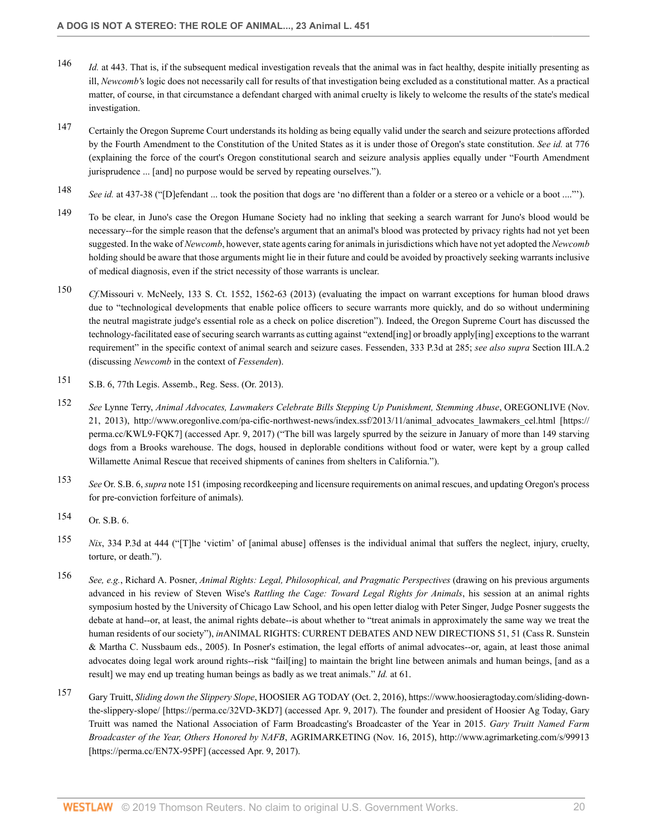- 146 *Id.* at 443. That is, if the subsequent medical investigation reveals that the animal was in fact healthy, despite initially presenting as ill, *Newcomb'*s logic does not necessarily call for results of that investigation being excluded as a constitutional matter. As a practical matter, of course, in that circumstance a defendant charged with animal cruelty is likely to welcome the results of the state's medical investigation.
- 147 Certainly the Oregon Supreme Court understands its holding as being equally valid under the search and seizure protections afforded by the Fourth Amendment to the Constitution of the United States as it is under those of Oregon's state constitution. *See id.* at 776 (explaining the force of the court's Oregon constitutional search and seizure analysis applies equally under "Fourth Amendment jurisprudence ... [and] no purpose would be served by repeating ourselves.").
- 148 *See id.* at 437-38 ("[D]efendant ... took the position that dogs are 'no different than a folder or a stereo or a vehicle or a boot ...."').
- 149 To be clear, in Juno's case the Oregon Humane Society had no inkling that seeking a search warrant for Juno's blood would be necessary--for the simple reason that the defense's argument that an animal's blood was protected by privacy rights had not yet been suggested. In the wake of *Newcomb*, however, state agents caring for animals in jurisdictions which have not yet adopted the *Newcomb* holding should be aware that those arguments might lie in their future and could be avoided by proactively seeking warrants inclusive of medical diagnosis, even if the strict necessity of those warrants is unclear.
- 150 *Cf.*Missouri v. McNeely, 133 S. Ct. 1552, 1562-63 (2013) (evaluating the impact on warrant exceptions for human blood draws due to "technological developments that enable police officers to secure warrants more quickly, and do so without undermining the neutral magistrate judge's essential role as a check on police discretion"). Indeed, the Oregon Supreme Court has discussed the technology-facilitated ease of securing search warrants as cutting against "extend[ing] or broadly apply[ing] exceptions to the warrant requirement" in the specific context of animal search and seizure cases. Fessenden, 333 P.3d at 285; *see also supra* Section III.A.2 (discussing *Newcomb* in the context of *Fessenden*).
- 151 S.B. 6, 77th Legis. Assemb., Reg. Sess. (Or. 2013).
- 152 *See* Lynne Terry, *Animal Advocates, Lawmakers Celebrate Bills Stepping Up Punishment, Stemming Abuse*, OREGONLIVE (Nov. 21, 2013), http://www.oregonlive.com/pa-cific-northwest-news/index.ssf/2013/11/animal\_advocates\_lawmakers\_cel.html [https:// perma.cc/KWL9-FQK7] (accessed Apr. 9, 2017) ("The bill was largely spurred by the seizure in January of more than 149 starving dogs from a Brooks warehouse. The dogs, housed in deplorable conditions without food or water, were kept by a group called Willamette Animal Rescue that received shipments of canines from shelters in California.").
- 153 *See* Or. S.B. 6, *supra* note 151 (imposing recordkeeping and licensure requirements on animal rescues, and updating Oregon's process for pre-conviction forfeiture of animals).
- $154$  Or. S.B. 6.
- 155 *Nix*, 334 P.3d at 444 ("[T]he 'victim' of [animal abuse] offenses is the individual animal that suffers the neglect, injury, cruelty, torture, or death.").
- 156 *See, e.g.*, Richard A. Posner, *Animal Rights: Legal, Philosophical, and Pragmatic Perspectives* (drawing on his previous arguments advanced in his review of Steven Wise's *Rattling the Cage: Toward Legal Rights for Animals*, his session at an animal rights symposium hosted by the University of Chicago Law School, and his open letter dialog with Peter Singer, Judge Posner suggests the debate at hand--or, at least, the animal rights debate--is about whether to "treat animals in approximately the same way we treat the human residents of our society"), *in*ANIMAL RIGHTS: CURRENT DEBATES AND NEW DIRECTIONS 51, 51 (Cass R. Sunstein & Martha C. Nussbaum eds., 2005). In Posner's estimation, the legal efforts of animal advocates--or, again, at least those animal advocates doing legal work around rights--risk "fail[ing] to maintain the bright line between animals and human beings, [and as a result] we may end up treating human beings as badly as we treat animals." *Id.* at 61.
- 157 Gary Truitt, *Sliding down the Slippery Slope*, HOOSIER AG TODAY (Oct. 2, 2016), https://www.hoosieragtoday.com/sliding-downthe-slippery-slope/ [https://perma.cc/32VD-3KD7] (accessed Apr. 9, 2017). The founder and president of Hoosier Ag Today, Gary Truitt was named the National Association of Farm Broadcasting's Broadcaster of the Year in 2015. *Gary Truitt Named Farm Broadcaster of the Year, Others Honored by NAFB*, AGRIMARKETING (Nov. 16, 2015), http://www.agrimarketing.com/s/99913 [https://perma.cc/EN7X-95PF] (accessed Apr. 9, 2017).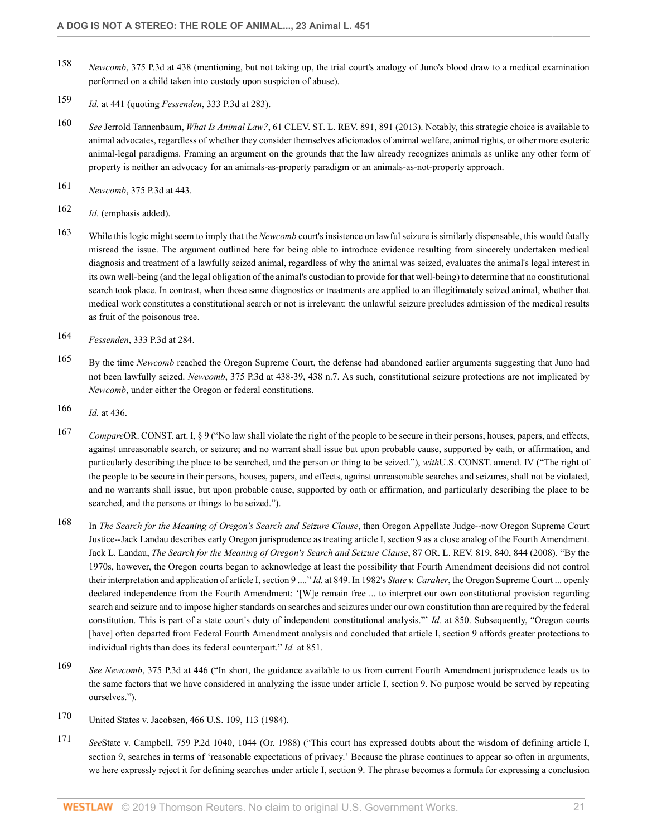- 158 *Newcomb*, 375 P.3d at 438 (mentioning, but not taking up, the trial court's analogy of Juno's blood draw to a medical examination performed on a child taken into custody upon suspicion of abuse).
- 159 *Id.* at 441 (quoting *Fessenden*, 333 P.3d at 283).
- 160 *See* Jerrold Tannenbaum, *What Is Animal Law?*, 61 CLEV. ST. L. REV. 891, 891 (2013). Notably, this strategic choice is available to animal advocates, regardless of whether they consider themselves aficionados of animal welfare, animal rights, or other more esoteric animal-legal paradigms. Framing an argument on the grounds that the law already recognizes animals as unlike any other form of property is neither an advocacy for an animals-as-property paradigm or an animals-as-not-property approach.
- 161 *Newcomb*, 375 P.3d at 443.
- 162 *Id.* (emphasis added).
- 163 While this logic might seem to imply that the *Newcomb* court's insistence on lawful seizure is similarly dispensable, this would fatally misread the issue. The argument outlined here for being able to introduce evidence resulting from sincerely undertaken medical diagnosis and treatment of a lawfully seized animal, regardless of why the animal was seized, evaluates the animal's legal interest in its own well-being (and the legal obligation of the animal's custodian to provide for that well-being) to determine that no constitutional search took place. In contrast, when those same diagnostics or treatments are applied to an illegitimately seized animal, whether that medical work constitutes a constitutional search or not is irrelevant: the unlawful seizure precludes admission of the medical results as fruit of the poisonous tree.
- 164 *Fessenden*, 333 P.3d at 284.
- 165 By the time *Newcomb* reached the Oregon Supreme Court, the defense had abandoned earlier arguments suggesting that Juno had not been lawfully seized. *Newcomb*, 375 P.3d at 438-39, 438 n.7. As such, constitutional seizure protections are not implicated by *Newcomb*, under either the Oregon or federal constitutions.
- 166 *Id.* at 436.
- 167 *Compare*OR. CONST. art. I, § 9 ("No law shall violate the right of the people to be secure in their persons, houses, papers, and effects, against unreasonable search, or seizure; and no warrant shall issue but upon probable cause, supported by oath, or affirmation, and particularly describing the place to be searched, and the person or thing to be seized."), *with*U.S. CONST. amend. IV ("The right of the people to be secure in their persons, houses, papers, and effects, against unreasonable searches and seizures, shall not be violated, and no warrants shall issue, but upon probable cause, supported by oath or affirmation, and particularly describing the place to be searched, and the persons or things to be seized.").
- 168 In *The Search for the Meaning of Oregon's Search and Seizure Clause*, then Oregon Appellate Judge--now Oregon Supreme Court Justice--Jack Landau describes early Oregon jurisprudence as treating article I, section 9 as a close analog of the Fourth Amendment. Jack L. Landau, *The Search for the Meaning of Oregon's Search and Seizure Clause*, 87 OR. L. REV. 819, 840, 844 (2008). "By the 1970s, however, the Oregon courts began to acknowledge at least the possibility that Fourth Amendment decisions did not control their interpretation and application of article I, section 9 ...." *Id.* at 849. In 1982's *State v. Caraher*, the Oregon Supreme Court ... openly declared independence from the Fourth Amendment: '[W]e remain free ... to interpret our own constitutional provision regarding search and seizure and to impose higher standards on searches and seizures under our own constitution than are required by the federal constitution. This is part of a state court's duty of independent constitutional analysis."' *Id.* at 850. Subsequently, "Oregon courts [have] often departed from Federal Fourth Amendment analysis and concluded that article I, section 9 affords greater protections to individual rights than does its federal counterpart." *Id.* at 851.
- 169 *See Newcomb*, 375 P.3d at 446 ("In short, the guidance available to us from current Fourth Amendment jurisprudence leads us to the same factors that we have considered in analyzing the issue under article I, section 9. No purpose would be served by repeating ourselves.").
- 170 United States v. Jacobsen, 466 U.S. 109, 113 (1984).
- 171 *See*State v. Campbell, 759 P.2d 1040, 1044 (Or. 1988) ("This court has expressed doubts about the wisdom of defining article I, section 9, searches in terms of 'reasonable expectations of privacy.' Because the phrase continues to appear so often in arguments, we here expressly reject it for defining searches under article I, section 9. The phrase becomes a formula for expressing a conclusion